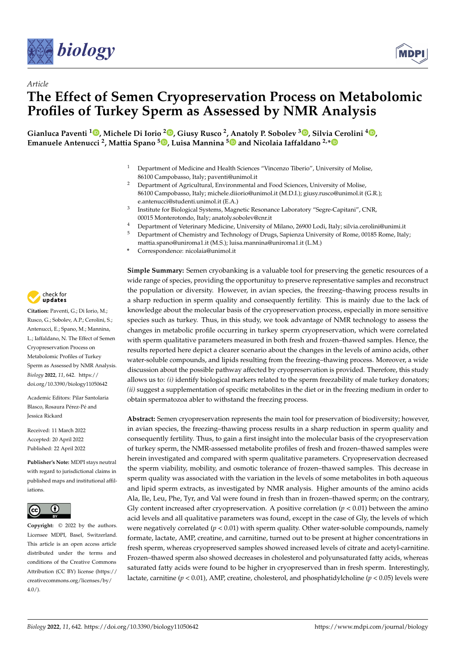



# *Article* **The Effect of Semen Cryopreservation Process on Metabolomic Profiles of Turkey Sperm as Assessed by NMR Analysis**

**Gianluca Paventi <sup>1</sup> [,](https://orcid.org/0000-0003-3673-0091) Michele Di Iorio [2](https://orcid.org/0000-0002-7454-4970) , Giusy Rusco <sup>2</sup> , Anatoly P. Sobolev <sup>3</sup> [,](https://orcid.org/0000-0001-8709-7666) Silvia Cerolini <sup>4</sup> [,](https://orcid.org/0000-0001-5625-0357) Emanuele Antenucci <sup>2</sup> , Mattia Spano <sup>5</sup> [,](https://orcid.org/0000-0001-5035-0971) Luisa Mannina [5](https://orcid.org/0000-0001-8659-5890) and Nicolaia Iaffaldano 2,[\\*](https://orcid.org/0000-0001-9680-1264)**

- <sup>1</sup> Department of Medicine and Health Sciences "Vincenzo Tiberio", University of Molise, 86100 Campobasso, Italy; paventi@unimol.it
- <sup>2</sup> Department of Agricultural, Environmental and Food Sciences, University of Molise, 86100 Campobasso, Italy; michele.diiorio@unimol.it (M.D.I.); giusy.rusco@unimol.it (G.R.); e.antenucci@studenti.unimol.it (E.A.)
- 3 Institute for Biological Systems, Magnetic Resonance Laboratory "Segre-Capitani", CNR, 00015 Monterotondo, Italy; anatoly.sobolev@cnr.it
- <sup>4</sup> Department of Veterinary Medicine, University of Milano, 26900 Lodi, Italy; silvia.cerolini@unimi.it<br><sup>5</sup> Department of Chamistus and Tashar lagar of Dunan Coniunas University of Dama, 00185 Dama, Italy
- <sup>5</sup> Department of Chemistry and Technology of Drugs, Sapienza University of Rome, 00185 Rome, Italy; mattia.spano@uniroma1.it (M.S.); luisa.mannina@uniroma1.it (L.M.)
- **\*** Correspondence: nicolaia@unimol.it

**Simple Summary:** Semen cryobanking is a valuable tool for preserving the genetic resources of a wide range of species, providing the opportunituy to preserve representative samples and reconstruct the population or diversity. However, in avian species, the freezing–thawing process results in a sharp reduction in sperm quality and consequently fertility. This is mainly due to the lack of knowledge about the molecular basis of the cryopreservation process, especially in more sensitive species such as turkey. Thus, in this study, we took advantage of NMR technology to assess the changes in metabolic profile occurring in turkey sperm cryopreservation, which were correlated with sperm qualitative parameters measured in both fresh and frozen–thawed samples. Hence, the results reported here depict a clearer scenario about the changes in the levels of amino acids, other water-soluble compounds, and lipids resulting from the freezing–thawing process. Moreover, a wide discussion about the possible pathway affected by cryopreservation is provided. Therefore, this study allows us to: *(i)* identify biological markers related to the sperm freezability of male turkey donators; *(ii)* suggest a supplementation of specific metabolites in the diet or in the freezing medium in order to obtain spermatozoa abler to withstand the freezing process.

**Abstract:** Semen cryopreservation represents the main tool for preservation of biodiversity; however, in avian species, the freezing–thawing process results in a sharp reduction in sperm quality and consequently fertility. Thus, to gain a first insight into the molecular basis of the cryopreservation of turkey sperm, the NMR-assessed metabolite profiles of fresh and frozen–thawed samples were herein investigated and compared with sperm qualitative parameters. Cryopreservation decreased the sperm viability, mobility, and osmotic tolerance of frozen–thawed samples. This decrease in sperm quality was associated with the variation in the levels of some metabolites in both aqueous and lipid sperm extracts, as investigated by NMR analysis. Higher amounts of the amino acids Ala, Ile, Leu, Phe, Tyr, and Val were found in fresh than in frozen–thawed sperm; on the contrary, Gly content increased after cryopreservation. A positive correlation  $(p < 0.01)$  between the amino acid levels and all qualitative parameters was found, except in the case of Gly, the levels of which were negatively correlated  $(p < 0.01)$  with sperm quality. Other water-soluble compounds, namely formate, lactate, AMP, creatine, and carnitine, turned out to be present at higher concentrations in fresh sperm, whereas cryopreserved samples showed increased levels of citrate and acetyl-carnitine. Frozen–thawed sperm also showed decreases in cholesterol and polyunsaturated fatty acids, whereas saturated fatty acids were found to be higher in cryopreserved than in fresh sperm. Interestingly, lactate, carnitine ( $p < 0.01$ ), AMP, creatine, cholesterol, and phosphatidylcholine ( $p < 0.05$ ) levels were



**Citation:** Paventi, G.; Di Iorio, M.; Rusco, G.; Sobolev, A.P.; Cerolini, S.; Antenucci, E.; Spano, M.; Mannina, L.; Iaffaldano, N. The Effect of Semen Cryopreservation Process on Metabolomic Profiles of Turkey Sperm as Assessed by NMR Analysis. *Biology* **2022**, *11*, 642. [https://](https://doi.org/10.3390/biology11050642) [doi.org/10.3390/biology11050642](https://doi.org/10.3390/biology11050642)

Academic Editors: Pilar Santolaria Blasco, Rosaura Pérez-Pé and Jessica Rickard

Received: 11 March 2022 Accepted: 20 April 2022 Published: 22 April 2022

**Publisher's Note:** MDPI stays neutral with regard to jurisdictional claims in published maps and institutional affiliations.



**Copyright:** © 2022 by the authors. Licensee MDPI, Basel, Switzerland. This article is an open access article distributed under the terms and conditions of the Creative Commons Attribution (CC BY) license [\(https://](https://creativecommons.org/licenses/by/4.0/) [creativecommons.org/licenses/by/](https://creativecommons.org/licenses/by/4.0/)  $4.0/$ ).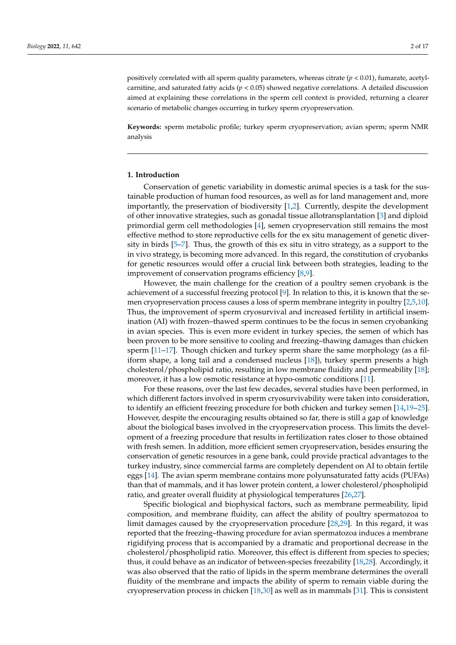positively correlated with all sperm quality parameters, whereas citrate (*p* < 0.01), fumarate, acetylcarnitine, and saturated fatty acids (*p* < 0.05) showed negative correlations. A detailed discussion aimed at explaining these correlations in the sperm cell context is provided, returning a clearer scenario of metabolic changes occurring in turkey sperm cryopreservation.

**Keywords:** sperm metabolic profile; turkey sperm cryopreservation; avian sperm; sperm NMR analysis

#### **1. Introduction**

Conservation of genetic variability in domestic animal species is a task for the sustainable production of human food resources, as well as for land management and, more importantly, the preservation of biodiversity [\[1,](#page-12-0)[2\]](#page-12-1). Currently, despite the development of other innovative strategies, such as gonadal tissue allotransplantation [\[3\]](#page-12-2) and diploid primordial germ cell methodologies [\[4\]](#page-12-3), semen cryopreservation still remains the most effective method to store reproductive cells for the ex situ management of genetic diversity in birds [\[5–](#page-12-4)[7\]](#page-12-5). Thus, the growth of this ex situ in vitro strategy, as a support to the in vivo strategy, is becoming more advanced. In this regard, the constitution of cryobanks for genetic resources would offer a crucial link between both strategies, leading to the improvement of conservation programs efficiency [\[8](#page-12-6)[,9\]](#page-12-7).

However, the main challenge for the creation of a poultry semen cryobank is the achievement of a successful freezing protocol [\[9\]](#page-12-7). In relation to this, it is known that the semen cryopreservation process causes a loss of sperm membrane integrity in poultry [\[2](#page-12-1)[,5](#page-12-4)[,10\]](#page-12-8). Thus, the improvement of sperm cryosurvival and increased fertility in artificial insemination (AI) with frozen–thawed sperm continues to be the focus in semen cryobanking in avian species. This is even more evident in turkey species, the semen of which has been proven to be more sensitive to cooling and freezing–thawing damages than chicken sperm [\[11–](#page-12-9)[17\]](#page-13-0). Though chicken and turkey sperm share the same morphology (as a filiform shape, a long tail and a condensed nucleus [\[18\]](#page-13-1)), turkey sperm presents a high cholesterol/phospholipid ratio, resulting in low membrane fluidity and permeability [\[18\]](#page-13-1); moreover, it has a low osmotic resistance at hypo-osmotic conditions [\[11\]](#page-12-9).

For these reasons, over the last few decades, several studies have been performed, in which different factors involved in sperm cryosurvivability were taken into consideration, to identify an efficient freezing procedure for both chicken and turkey semen [\[14,](#page-12-10)[19](#page-13-2)[–25\]](#page-13-3). However, despite the encouraging results obtained so far, there is still a gap of knowledge about the biological bases involved in the cryopreservation process. This limits the development of a freezing procedure that results in fertilization rates closer to those obtained with fresh semen. In addition, more efficient semen cryopreservation, besides ensuring the conservation of genetic resources in a gene bank, could provide practical advantages to the turkey industry, since commercial farms are completely dependent on AI to obtain fertile eggs [\[14\]](#page-12-10). The avian sperm membrane contains more polyunsaturated fatty acids (PUFAs) than that of mammals, and it has lower protein content, a lower cholesterol/phospholipid ratio, and greater overall fluidity at physiological temperatures [\[26](#page-13-4)[,27\]](#page-13-5).

Specific biological and biophysical factors, such as membrane permeability, lipid composition, and membrane fluidity, can affect the ability of poultry spermatozoa to limit damages caused by the cryopreservation procedure [\[28](#page-13-6)[,29\]](#page-13-7). In this regard, it was reported that the freezing–thawing procedure for avian spermatozoa induces a membrane rigidifying process that is accompanied by a dramatic and proportional decrease in the cholesterol/phospholipid ratio. Moreover, this effect is different from species to species; thus, it could behave as an indicator of between-species freezability [\[18](#page-13-1)[,28\]](#page-13-6). Accordingly, it was also observed that the ratio of lipids in the sperm membrane determines the overall fluidity of the membrane and impacts the ability of sperm to remain viable during the cryopreservation process in chicken [\[18,](#page-13-1)[30\]](#page-13-8) as well as in mammals [\[31\]](#page-13-9). This is consistent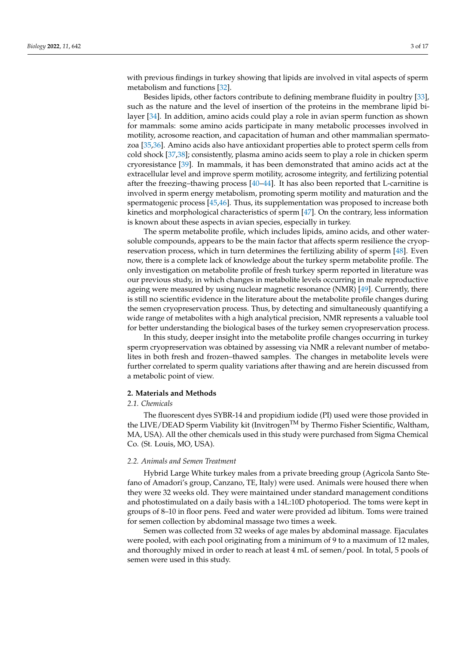with previous findings in turkey showing that lipids are involved in vital aspects of sperm metabolism and functions [\[32\]](#page-13-10).

Besides lipids, other factors contribute to defining membrane fluidity in poultry [\[33\]](#page-13-11), such as the nature and the level of insertion of the proteins in the membrane lipid bilayer [\[34\]](#page-13-12). In addition, amino acids could play a role in avian sperm function as shown for mammals: some amino acids participate in many metabolic processes involved in motility, acrosome reaction, and capacitation of human and other mammalian spermatozoa [\[35,](#page-13-13)[36\]](#page-13-14). Amino acids also have antioxidant properties able to protect sperm cells from cold shock [\[37](#page-13-15)[,38\]](#page-13-16); consistently, plasma amino acids seem to play a role in chicken sperm cryoresistance [\[39\]](#page-13-17). In mammals, it has been demonstrated that amino acids act at the extracellular level and improve sperm motility, acrosome integrity, and fertilizing potential after the freezing–thawing process [\[40–](#page-13-18)[44\]](#page-14-0). It has also been reported that L-carnitine is involved in sperm energy metabolism, promoting sperm motility and maturation and the spermatogenic process [\[45,](#page-14-1)[46\]](#page-14-2). Thus, its supplementation was proposed to increase both kinetics and morphological characteristics of sperm [\[47\]](#page-14-3). On the contrary, less information is known about these aspects in avian species, especially in turkey.

The sperm metabolite profile, which includes lipids, amino acids, and other watersoluble compounds, appears to be the main factor that affects sperm resilience the cryopreservation process, which in turn determines the fertilizing ability of sperm [\[48\]](#page-14-4). Even now, there is a complete lack of knowledge about the turkey sperm metabolite profile. The only investigation on metabolite profile of fresh turkey sperm reported in literature was our previous study, in which changes in metabolite levels occurring in male reproductive ageing were measured by using nuclear magnetic resonance (NMR) [\[49\]](#page-14-5). Currently, there is still no scientific evidence in the literature about the metabolite profile changes during the semen cryopreservation process. Thus, by detecting and simultaneously quantifying a wide range of metabolites with a high analytical precision, NMR represents a valuable tool for better understanding the biological bases of the turkey semen cryopreservation process.

In this study, deeper insight into the metabolite profile changes occurring in turkey sperm cryopreservation was obtained by assessing via NMR a relevant number of metabolites in both fresh and frozen–thawed samples. The changes in metabolite levels were further correlated to sperm quality variations after thawing and are herein discussed from a metabolic point of view.

## **2. Materials and Methods**

#### *2.1. Chemicals*

The fluorescent dyes SYBR-14 and propidium iodide (PI) used were those provided in the LIVE/DEAD Sperm Viability kit (InvitrogenTM by Thermo Fisher Scientific, Waltham, MA, USA). All the other chemicals used in this study were purchased from Sigma Chemical Co. (St. Louis, MO, USA).

#### *2.2. Animals and Semen Treatment*

Hybrid Large White turkey males from a private breeding group (Agricola Santo Stefano of Amadori's group, Canzano, TE, Italy) were used. Animals were housed there when they were 32 weeks old. They were maintained under standard management conditions and photostimulated on a daily basis with a 14L:10D photoperiod. The toms were kept in groups of 8–10 in floor pens. Feed and water were provided ad libitum. Toms were trained for semen collection by abdominal massage two times a week.

Semen was collected from 32 weeks of age males by abdominal massage. Ejaculates were pooled, with each pool originating from a minimum of 9 to a maximum of 12 males, and thoroughly mixed in order to reach at least 4 mL of semen/pool. In total, 5 pools of semen were used in this study.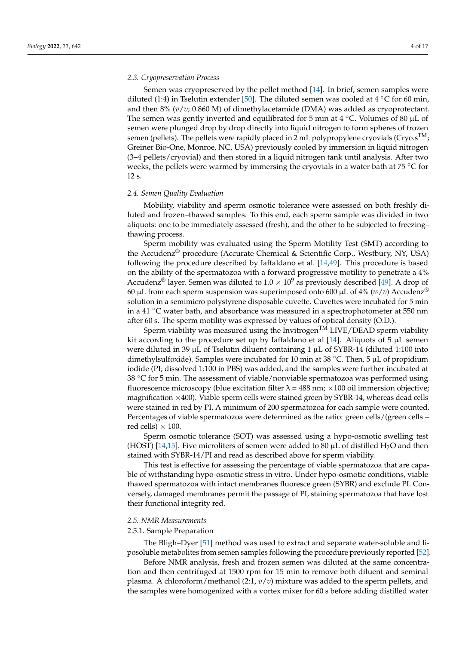#### *2.3. Cryopreservation Process*

Semen was cryopreserved by the pellet method [\[14\]](#page-12-10). In brief, semen samples were diluted (1:4) in Tselutin extender [\[50\]](#page-14-6). The diluted semen was cooled at 4 °C for 60 min, and then 8% (*v*/*v*; 0.860 M) of dimethylacetamide (DMA) was added as cryoprotectant. The semen was gently inverted and equilibrated for 5 min at 4  $°C$ . Volumes of 80 µL of semen were plunged drop by drop directly into liquid nitrogen to form spheres of frozen semen (pellets). The pellets were rapidly placed in 2 mL polypropylene cryovials (Cryo. $s^{TM}$ ; Greiner Bio-One, Monroe, NC, USA) previously cooled by immersion in liquid nitrogen (3–4 pellets/cryovial) and then stored in a liquid nitrogen tank until analysis. After two weeks, the pellets were warmed by immersing the cryovials in a water bath at 75  $\degree$ C for 12 s.

#### *2.4. Semen Quality Evaluation*

Mobility, viability and sperm osmotic tolerance were assessed on both freshly diluted and frozen–thawed samples. To this end, each sperm sample was divided in two aliquots: one to be immediately assessed (fresh), and the other to be subjected to freezing– thawing process.

Sperm mobility was evaluated using the Sperm Motility Test (SMT) according to the Accudenz® procedure (Accurate Chemical & Scientific Corp., Westbury, NY, USA) following the procedure described by Iaffaldano et al. [\[14,](#page-12-10)[49\]](#page-14-5). This procedure is based on the ability of the spermatozoa with a forward progressive motility to penetrate a 4% Accudenz<sup>®</sup> layer. Semen was diluted to  $1.0 \times 10^9$  as previously described [\[49\]](#page-14-5). A drop of 60 µL from each sperm suspension was superimposed onto 600 µL of  $4\%$  ( $w/v$ ) Accudenz<sup>®</sup> solution in a semimicro polystyrene disposable cuvette. Cuvettes were incubated for 5 min in a 41  $\degree$ C water bath, and absorbance was measured in a spectrophotometer at 550 nm after 60 s. The sperm motility was expressed by values of optical density (O.D.).

Sperm viability was measured using the Invitrogen<sup>TM</sup> LIVE/DEAD sperm viability kit according to the procedure set up by Iaffaldano et al  $[14]$ . Aliquots of 5  $\mu$ L semen were diluted in 39  $\mu$ L of Tselutin diluent containing 1  $\mu$ L of SYBR-14 (diluted 1:100 into dimethylsulfoxide). Samples were incubated for 10 min at 38 °C. Then, 5  $\mu$ L of propidium iodide (PI; dissolved 1:100 in PBS) was added, and the samples were further incubated at 38  $\degree$ C for 5 min. The assessment of viable/nonviable spermatozoa was performed using fluorescence microscopy (blue excitation filter  $\lambda = 488$  nm;  $\times 100$  oil immersion objective; magnification  $\times$ 400). Viable sperm cells were stained green by SYBR-14, whereas dead cells were stained in red by PI. A minimum of 200 spermatozoa for each sample were counted. Percentages of viable spermatozoa were determined as the ratio: green cells/(green cells + red cells)  $\times$  100.

Sperm osmotic tolerance (SOT) was assessed using a hypo-osmotic swelling test (HOST) [\[14](#page-12-10)[,15\]](#page-12-11). Five microliters of semen were added to 80  $\mu$ L of distilled H<sub>2</sub>O and then stained with SYBR-14/PI and read as described above for sperm viability.

This test is effective for assessing the percentage of viable spermatozoa that are capable of withstanding hypo-osmotic stress in vitro. Under hypo-osmotic conditions, viable thawed spermatozoa with intact membranes fluoresce green (SYBR) and exclude PI. Conversely, damaged membranes permit the passage of PI, staining spermatozoa that have lost their functional integrity red.

#### *2.5. NMR Measurements*

## 2.5.1. Sample Preparation

The Bligh–Dyer [\[51\]](#page-14-7) method was used to extract and separate water-soluble and liposoluble metabolites from semen samples following the procedure previously reported [\[52\]](#page-14-8).

Before NMR analysis, fresh and frozen semen was diluted at the same concentration and then centrifuged at 1500 rpm for 15 min to remove both diluent and seminal plasma. A chloroform/methanol (2:1, *v*/*v*) mixture was added to the sperm pellets, and the samples were homogenized with a vortex mixer for 60 s before adding distilled water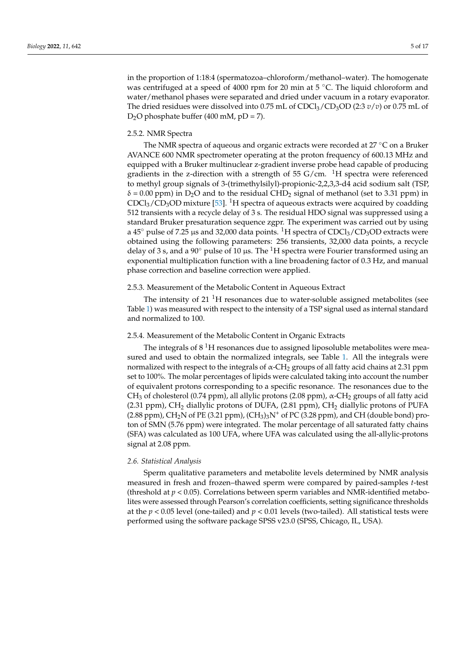in the proportion of 1:18:4 (spermatozoa–chloroform/methanol–water). The homogenate was centrifuged at a speed of 4000 rpm for 20 min at  $5 \degree C$ . The liquid chloroform and water/methanol phases were separated and dried under vacuum in a rotary evaporator. The dried residues were dissolved into 0.75 mL of  $CDCl<sub>3</sub>/CD<sub>3</sub>OD (2:3 v/v)$  or 0.75 mL of  $D_2O$  phosphate buffer (400 mM, pD = 7).

# 2.5.2. NMR Spectra

The NMR spectra of aqueous and organic extracts were recorded at 27 ◦C on a Bruker AVANCE 600 NMR spectrometer operating at the proton frequency of 600.13 MHz and equipped with a Bruker multinuclear z-gradient inverse probe head capable of producing gradients in the z-direction with a strength of 55 G/cm.  ${}^{1}H$  spectra were referenced to methyl group signals of 3-(trimethylsilyl)-propionic-2,2,3,3-d4 acid sodium salt (TSP,  $\delta$  = 0.00 ppm) in D<sub>2</sub>O and to the residual CHD<sub>2</sub> signal of methanol (set to 3.31 ppm) in  $CDCl<sub>3</sub>/CD<sub>3</sub>OD$  mixture [\[53\]](#page-14-9). <sup>1</sup>H spectra of aqueous extracts were acquired by coadding 512 transients with a recycle delay of 3 s. The residual HDO signal was suppressed using a standard Bruker presaturation sequence zgpr. The experiment was carried out by using a 45 $\degree$  pulse of 7.25 µs and 32,000 data points. <sup>1</sup>H spectra of CDCl<sub>3</sub>/CD<sub>3</sub>OD extracts were obtained using the following parameters: 256 transients, 32,000 data points, a recycle delay of 3 s, and a 90 $\degree$  pulse of 10 µs. The <sup>1</sup>H spectra were Fourier transformed using an exponential multiplication function with a line broadening factor of 0.3 Hz, and manual phase correction and baseline correction were applied.

## 2.5.3. Measurement of the Metabolic Content in Aqueous Extract

The intensity of  $21<sup>1</sup>H$  resonances due to water-soluble assigned metabolites (see Table [1\)](#page-5-0) was measured with respect to the intensity of a TSP signal used as internal standard and normalized to 100.

#### 2.5.4. Measurement of the Metabolic Content in Organic Extracts

The integrals of  $8<sup>1</sup>H$  resonances due to assigned liposoluble metabolites were measured and used to obtain the normalized integrals, see Table [1.](#page-5-0) All the integrals were normalized with respect to the integrals of α-CH<sub>2</sub> groups of all fatty acid chains at 2.31 ppm set to 100%. The molar percentages of lipids were calculated taking into account the number of equivalent protons corresponding to a specific resonance. The resonances due to the CH<sub>3</sub> of cholesterol (0.74 ppm), all allylic protons (2.08 ppm),  $\alpha$ -CH<sub>2</sub> groups of all fatty acid (2.31 ppm),  $CH_2$  diallylic protons of DUFA, (2.81 ppm),  $CH_2$  diallylic protons of PUFA (2.88 ppm), CH<sub>2</sub>N of PE (3.21 ppm), (CH<sub>3</sub>)<sub>3</sub>N<sup>+</sup> of PC (3.28 ppm), and CH (double bond) proton of SMN (5.76 ppm) were integrated. The molar percentage of all saturated fatty chains (SFA) was calculated as 100 UFA, where UFA was calculated using the all-allylic-protons signal at 2.08 ppm.

#### *2.6. Statistical Analysis*

Sperm qualitative parameters and metabolite levels determined by NMR analysis measured in fresh and frozen–thawed sperm were compared by paired-samples *t*-test (threshold at  $p < 0.05$ ). Correlations between sperm variables and NMR-identified metabolites were assessed through Pearson's correlation coefficients, setting significance thresholds at the  $p < 0.05$  level (one-tailed) and  $p < 0.01$  levels (two-tailed). All statistical tests were performed using the software package SPSS v23.0 (SPSS, Chicago, IL, USA).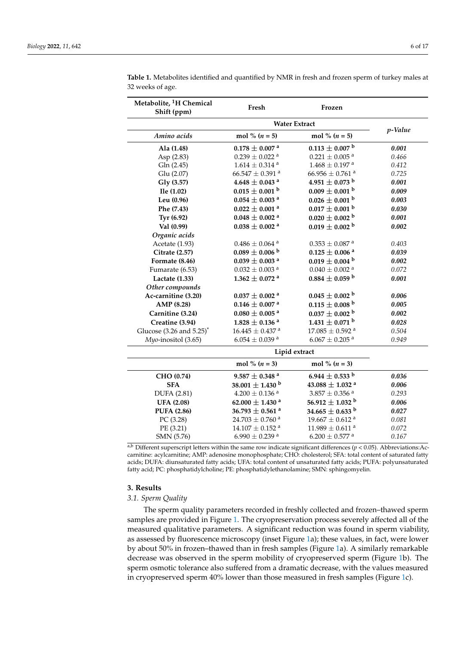| Metabolite, <sup>1</sup> H Chemical<br>Shift (ppm) | Fresh                           | Frozen                          |         |
|----------------------------------------------------|---------------------------------|---------------------------------|---------|
|                                                    | <b>Water Extract</b>            |                                 |         |
| Amino acids                                        | mol % $(n = 5)$                 | mol % $(n = 5)$                 | p-Value |
| Ala (1.48)                                         | $0.178\pm0.007$ a               | $0.113 \pm 0.007$ <sup>b</sup>  | 0.001   |
| Asp (2.83)                                         | $0.239 \pm 0.022$ <sup>a</sup>  | $0.221\pm0.005$ a               | 0.466   |
| Gln (2.45)                                         | $1.614\pm0.314$ a               | $1.468\pm0.197$ $^{\rm a}$      | 0.412   |
| Glu (2.07)                                         | $66.547 \pm 0.391$ <sup>a</sup> | $66.956 \pm 0.761$ <sup>a</sup> | 0.725   |
| Gly (3.57)                                         | $4.648 \pm 0.043$ <sup>a</sup>  | $4.951 \pm 0.073$ b             | 0.001   |
| Ile (1.02)                                         | $0.015\pm0.001$ b               | $0.009 \pm 0.001$ <sup>b</sup>  | 0.009   |
| Leu (0.96)                                         | $0.054\pm0.003$ a               | $0.026 \pm 0.001$ <sup>b</sup>  | 0.003   |
| Phe (7.43)                                         | $0.022\pm0.001$ a               | $0.017 \pm 0.001$ b             | 0.030   |
| Tyr (6.92)                                         | $0.048 \pm 0.002$ <sup>a</sup>  | $0.020 \pm 0.002$ <sup>b</sup>  | 0.001   |
| Val (0.99)                                         | $0.038 \pm 0.002$ <sup>a</sup>  | $0.019 \pm 0.002$ <sup>b</sup>  | 0.002   |
| Organic acids                                      |                                 |                                 |         |
| Acetate (1.93)                                     | $0.486\pm0.064$ $^{\rm a}$      | $0.353\pm0.087$ $^{\rm a}$      | 0.403   |
| Citrate (2.57)                                     | $0.089 \pm 0.006$ <sup>b</sup>  | $0.125 \pm 0.006$ <sup>a</sup>  | 0.039   |
| Formate (8.46)                                     | $0.039\pm0.003$ a               | $0.019\pm0.004$ b               | 0.002   |
| Fumarate (6.53)                                    | $0.032 \pm 0.003$ <sup>a</sup>  | $0.040 \pm 0.002$ <sup>a</sup>  | 0.072   |
| Lactate (1.33)                                     | $1.362 \pm 0.072$ <sup>a</sup>  | $0.884 \pm 0.059$ <sup>b</sup>  | 0.001   |
| Other compounds                                    |                                 |                                 |         |
| Ac-carnitine (3.20)                                | $0.037\pm0.002$ a               | $0.045 \pm 0.002$ <sup>b</sup>  | 0.006   |
| AMP (8.28)                                         | $0.146\pm0.007$ a               | $0.115 \pm 0.008$ <sup>b</sup>  | 0.005   |
| Carnitine (3.24)                                   | $0.080\pm0.005$ a               | $0.037 \pm 0.002$ <sup>b</sup>  | 0.002   |
| Creatine (3.94)                                    | $1.828 \pm 0.136$ <sup>a</sup>  | $1.431 \pm 0.071$ <sup>b</sup>  | 0.028   |
| Glucose $(3.26$ and $5.25)^{*}$                    | $16.445 \pm 0.437$ <sup>a</sup> | $17.085 \pm 0.592$ <sup>a</sup> | 0.504   |
| Myo-inositol (3.65)                                | $6.054 \pm 0.039$ <sup>a</sup>  | $6.067 \pm 0.205$ <sup>a</sup>  | 0.949   |
|                                                    | Lipid extract                   |                                 |         |
|                                                    | mol % $(n = 3)$                 | mol % $(n = 3)$                 |         |
| CHO (0.74)                                         | $9.587\pm0.348$ $^{\rm a}$      | 6.944 $\pm$ 0.533 $^{\rm b}$    | 0.036   |
| <b>SFA</b>                                         | 38.001 $\pm$ 1.430 <sup>b</sup> | 43.088 $\pm$ 1.032 <sup>a</sup> | 0.006   |
| <b>DUFA</b> (2.81)                                 | $4.200 \pm 0.136$ <sup>a</sup>  | $3.857\pm0.356$ $^{\rm a}$      | 0.293   |
| <b>UFA (2.08)</b>                                  | 62.000 $\pm$ 1.430 <sup>a</sup> | 56.912 $\pm$ 1.032 $^{\rm b}$   | 0.006   |
| <b>PUFA (2.86)</b>                                 | 36.793 $\pm$ 0.561 <sup>a</sup> | 34.665 $\pm$ 0.633 $^{\rm b}$   | 0.027   |
| PC (3.28)                                          | $24.703 \pm 0.760$ <sup>a</sup> | $19.667 \pm 0.612$ <sup>a</sup> | 0.081   |
| PE (3.21)                                          | $14.107 \pm 0.152$ <sup>a</sup> | $11.989 \pm 0.611$ <sup>a</sup> | 0.072   |
| SMN (5.76)                                         | $6.990 \pm 0.239$ <sup>a</sup>  | $6.200\pm0.577$ a               | 0.167   |

<span id="page-5-0"></span>**Table 1.** Metabolites identified and quantified by NMR in fresh and frozen sperm of turkey males at 32 weeks of age.

a,b Different superscript letters within the same row indicate significant differences ( $p < 0.05$ ). Abbreviations:Accarnitine: acylcarnitine; AMP: adenosine monophosphate; CHO: cholesterol; SFA: total content of saturated fatty acids; DUFA: diunsaturated fatty acids; UFA: total content of unsaturated fatty acids; PUFA: polyunsaturated fatty acid; PC: phosphatidylcholine; PE: phosphatidylethanolamine; SMN: sphingomyelin.

#### **3. Results**

## *3.1. Sperm Quality*

The sperm quality parameters recorded in freshly collected and frozen–thawed sperm samples are provided in Figure [1.](#page-6-0) The cryopreservation process severely affected all of the measured qualitative parameters. A significant reduction was found in sperm viability, as assessed by fluorescence microscopy (inset Figure [1a](#page-6-0)); these values, in fact, were lower by about 50% in frozen–thawed than in fresh samples (Figure [1a](#page-6-0)). A similarly remarkable decrease was observed in the sperm mobility of cryopreserved sperm (Figure [1b](#page-6-0)). The sperm osmotic tolerance also suffered from a dramatic decrease, with the values measured in cryopreserved sperm 40% lower than those measured in fresh samples (Figure [1c](#page-6-0)).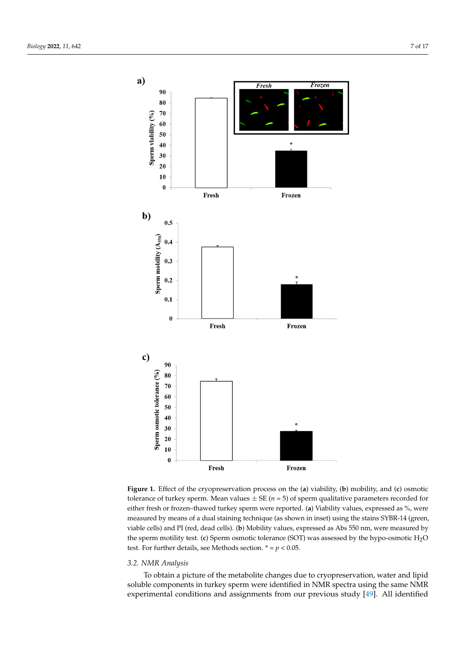<span id="page-6-0"></span>

tolerance of turkey sperm. Mean values  $\pm$  SE ( $n = 5$ ) of sperm qualitative parameters recorded for either fresh or frozen-thawed turkey sperm were reported. (a) Viability values, expressed as %, were measured by means of a dual staining technique (as shown in inset) using the stains SYBR-14 (green, viable cells) and PI (red, dead cells). (**b**) Mobility values, expressed as Abs 550 nm, were measured by  $\theta$  (c)  $\theta$  and  $\theta$  (red, decade cells). (a)  $\theta$  more cells to be seen as  $\theta$  of  $\theta$  nm, we red, decade cells). (a)  $\theta$  nm, we red, the cells  $\theta$  and  $\theta$  and  $\theta$  is  $\theta$  of  $\theta$  of  $\theta$  and  $\theta$  and  $\theta$  and  $\theta$ the sperm motility test. (**c**) Sperm osmotic tolerance (SOT) was assessed by the hypo-osmotic H<sub>2</sub>O test. For further details, see Methods section.  $* = p < 0.05$ . **Figure 1.** Effect of the cryopreservation process on the (**a**) viability, (**b**) mobility, and (**c**) osmotic

## *3.2. NMR Analysis*

To obtain a picture of the metabolite changes due to cryopreservation, water and lipid soluble components in turkey sperm were identified in NMR spectra using the same NMR experimental conditions and assignments from our previous study [\[49\]](#page-14-5). All identified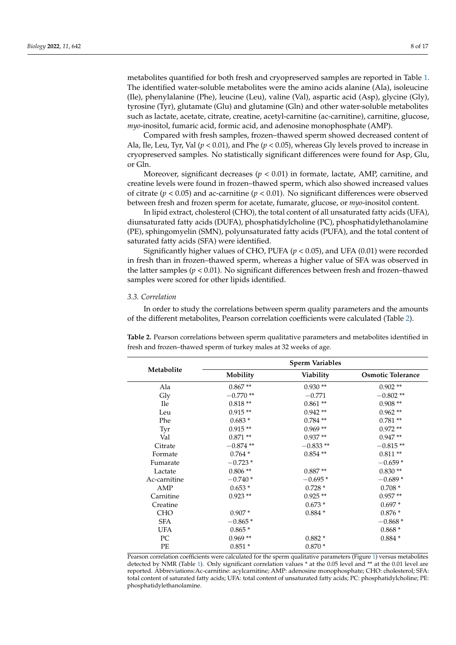metabolites quantified for both fresh and cryopreserved samples are reported in Table [1.](#page-5-0) The identified water-soluble metabolites were the amino acids alanine (Ala), isoleucine (Ile), phenylalanine (Phe), leucine (Leu), valine (Val), aspartic acid (Asp), glycine (Gly), tyrosine (Tyr), glutamate (Glu) and glutamine (Gln) and other water-soluble metabolites such as lactate, acetate, citrate, creatine, acetyl-carnitine (ac-carnitine), carnitine, glucose, *myo*-inositol, fumaric acid, formic acid, and adenosine monophosphate (AMP).

Compared with fresh samples, frozen–thawed sperm showed decreased content of Ala, Ile, Leu, Tyr, Val (*p* < 0.01), and Phe (*p* < 0.05), whereas Gly levels proved to increase in cryopreserved samples. No statistically significant differences were found for Asp, Glu, or Gln.

Moreover, significant decreases ( $p < 0.01$ ) in formate, lactate, AMP, carnitine, and creatine levels were found in frozen–thawed sperm, which also showed increased values of citrate ( $p < 0.05$ ) and ac-carnitine ( $p < 0.01$ ). No significant differences were observed between fresh and frozen sperm for acetate, fumarate, glucose, or *myo*-inositol content.

In lipid extract, cholesterol (CHO), the total content of all unsaturated fatty acids (UFA), diunsaturated fatty acids (DUFA), phosphatidylcholine (PC), phosphatidylethanolamine (PE), sphingomyelin (SMN), polyunsaturated fatty acids (PUFA), and the total content of saturated fatty acids (SFA) were identified.

Significantly higher values of CHO, PUFA (*p* < 0.05), and UFA (0.01) were recorded in fresh than in frozen–thawed sperm, whereas a higher value of SFA was observed in the latter samples ( $p < 0.01$ ). No significant differences between fresh and frozen–thawed samples were scored for other lipids identified.

# *3.3. Correlation*

In order to study the correlations between sperm quality parameters and the amounts of the different metabolites, Pearson correlation coefficients were calculated (Table [2\)](#page-7-0).

| Metabolite   | <b>Sperm Variables</b> |                  |                          |  |
|--------------|------------------------|------------------|--------------------------|--|
|              | Mobility               | <b>Viability</b> | <b>Osmotic Tolerance</b> |  |
| Ala          | $0.867**$              | $0.930**$        | $0.902**$                |  |
| Gly          | $-0.770**$             | $-0.771$         | $-0.802**$               |  |
| <b>Ile</b>   | $0.818**$              | $0.861**$        | $0.908**$                |  |
| Leu          | $0.915**$              | $0.942**$        | $0.962**$                |  |
| Phe          | $0.683*$               | $0.784**$        | $0.781**$                |  |
| Tyr          | $0.915**$              | $0.969**$        | $0.972**$                |  |
| Val          | $0.871**$              | $0.937**$        | $0.947**$                |  |
| Citrate      | $-0.874**$             | $-0.833**$       | $-0.815**$               |  |
| Formate      | $0.764*$               | $0.854**$        | $0.811**$                |  |
| Fumarate     | $-0.723*$              |                  | $-0.659*$                |  |
| Lactate      | $0.806\; ^{\ast\ast}$  | $0.887**$        | $0.830**$                |  |
| Ac-carnitine | $-0.740*$              | $-0.695*$        | $-0.689*$                |  |
| AMP          | $0.653*$               | $0.728*$         | $0.708*$                 |  |
| Carnitine    | $0.923**$              | $0.925**$        | $0.957**$                |  |
| Creatine     |                        | $0.673*$         | $0.697*$                 |  |
| <b>CHO</b>   | $0.907*$               | $0.884*$         | $0.876*$                 |  |
| <b>SFA</b>   | $-0.865*$              |                  | $-0.868*$                |  |
| UFA          | $0.865*$               |                  | $0.868*$                 |  |
| PC           | $0.969**$              | $0.882*$         | $0.884*$                 |  |
| PE           | $0.851*$               | $0.870*$         |                          |  |
|              |                        |                  |                          |  |

<span id="page-7-0"></span>**Table 2.** Pearson correlations between sperm qualitative parameters and metabolites identified in fresh and frozen–thawed sperm of turkey males at 32 weeks of age.

Pearson correlation coefficients were calculated for the sperm qualitative parameters (Figure [1\)](#page-6-0) versus metabolites detected by NMR (Table [1\)](#page-5-0). Only significant correlation values \* at the 0.05 level and \*\* at the 0.01 level are reported. Abbreviations:Ac-carnitine: acylcarnitine; AMP: adenosine monophosphate; CHO: cholesterol; SFA: total content of saturated fatty acids; UFA: total content of unsaturated fatty acids; PC: phosphatidylcholine; PE: phosphatidylethanolamine.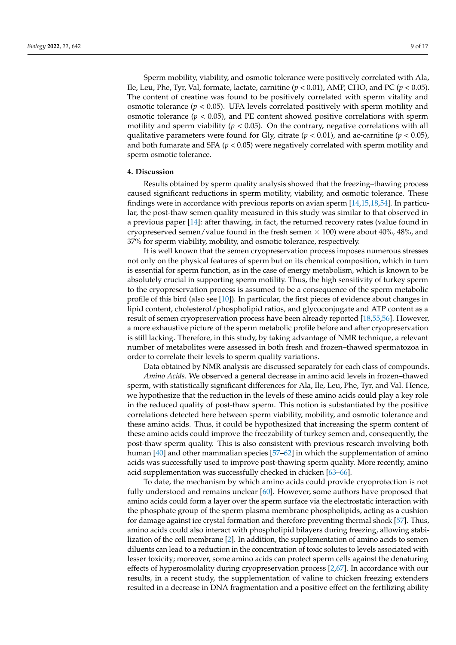Sperm mobility, viability, and osmotic tolerance were positively correlated with Ala, Ile, Leu, Phe, Tyr, Val, formate, lactate, carnitine (*p* < 0.01), AMP, CHO, and PC (*p* < 0.05). The content of creatine was found to be positively correlated with sperm vitality and osmotic tolerance  $(p < 0.05)$ . UFA levels correlated positively with sperm motility and osmotic tolerance  $(p < 0.05)$ , and PE content showed positive correlations with sperm motility and sperm viability ( $p < 0.05$ ). On the contrary, negative correlations with all qualitative parameters were found for Gly, citrate ( $p < 0.01$ ), and ac-carnitine ( $p < 0.05$ ), and both fumarate and SFA ( $p < 0.05$ ) were negatively correlated with sperm motility and sperm osmotic tolerance.

# **4. Discussion**

Results obtained by sperm quality analysis showed that the freezing–thawing process caused significant reductions in sperm motility, viability, and osmotic tolerance. These findings were in accordance with previous reports on avian sperm [\[14,](#page-12-10)[15,](#page-12-11)[18](#page-13-1)[,54\]](#page-14-10). In particular, the post-thaw semen quality measured in this study was similar to that observed in a previous paper [\[14\]](#page-12-10): after thawing, in fact, the returned recovery rates (value found in cryopreserved semen/value found in the fresh semen  $\times$  100) were about 40%, 48%, and 37% for sperm viability, mobility, and osmotic tolerance, respectively.

It is well known that the semen cryopreservation process imposes numerous stresses not only on the physical features of sperm but on its chemical composition, which in turn is essential for sperm function, as in the case of energy metabolism, which is known to be absolutely crucial in supporting sperm motility. Thus, the high sensitivity of turkey sperm to the cryopreservation process is assumed to be a consequence of the sperm metabolic profile of this bird (also see [\[10\]](#page-12-8)). In particular, the first pieces of evidence about changes in lipid content, cholesterol/phospholipid ratios, and glycoconjugate and ATP content as a result of semen cryopreservation process have been already reported [\[18](#page-13-1)[,55](#page-14-11)[,56\]](#page-14-12). However, a more exhaustive picture of the sperm metabolic profile before and after cryopreservation is still lacking. Therefore, in this study, by taking advantage of NMR technique, a relevant number of metabolites were assessed in both fresh and frozen–thawed spermatozoa in order to correlate their levels to sperm quality variations.

Data obtained by NMR analysis are discussed separately for each class of compounds.

*Amino Acids*. We observed a general decrease in amino acid levels in frozen–thawed sperm, with statistically significant differences for Ala, Ile, Leu, Phe, Tyr, and Val. Hence, we hypothesize that the reduction in the levels of these amino acids could play a key role in the reduced quality of post-thaw sperm. This notion is substantiated by the positive correlations detected here between sperm viability, mobility, and osmotic tolerance and these amino acids. Thus, it could be hypothesized that increasing the sperm content of these amino acids could improve the freezability of turkey semen and, consequently, the post-thaw sperm quality. This is also consistent with previous research involving both human [\[40\]](#page-13-18) and other mammalian species [\[57–](#page-14-13)[62\]](#page-14-14) in which the supplementation of amino acids was successfully used to improve post-thawing sperm quality. More recently, amino acid supplementation was successfully checked in chicken [\[63–](#page-14-15)[66\]](#page-14-16).

To date, the mechanism by which amino acids could provide cryoprotection is not fully understood and remains unclear [\[60\]](#page-14-17). However, some authors have proposed that amino acids could form a layer over the sperm surface via the electrostatic interaction with the phosphate group of the sperm plasma membrane phospholipids, acting as a cushion for damage against ice crystal formation and therefore preventing thermal shock [\[57\]](#page-14-13). Thus, amino acids could also interact with phospholipid bilayers during freezing, allowing stabilization of the cell membrane [\[2\]](#page-12-1). In addition, the supplementation of amino acids to semen diluents can lead to a reduction in the concentration of toxic solutes to levels associated with lesser toxicity; moreover, some amino acids can protect sperm cells against the denaturing effects of hyperosmolality during cryopreservation process [\[2,](#page-12-1)[67\]](#page-14-18). In accordance with our results, in a recent study, the supplementation of valine to chicken freezing extenders resulted in a decrease in DNA fragmentation and a positive effect on the fertilizing ability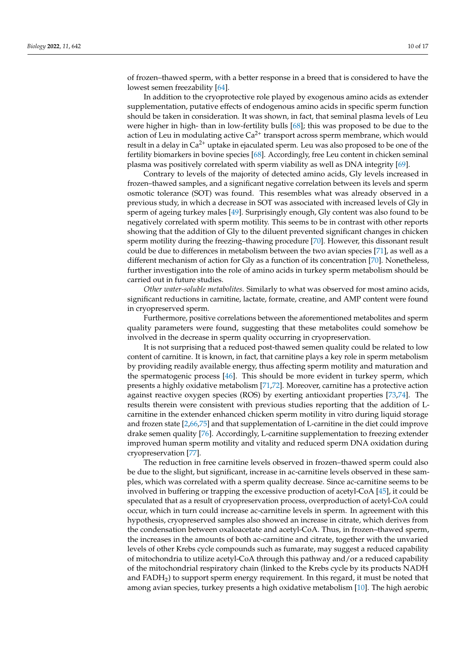of frozen–thawed sperm, with a better response in a breed that is considered to have the lowest semen freezability [\[64\]](#page-14-19).

In addition to the cryoprotective role played by exogenous amino acids as extender supplementation, putative effects of endogenous amino acids in specific sperm function should be taken in consideration. It was shown, in fact, that seminal plasma levels of Leu were higher in high- than in low-fertility bulls [\[68\]](#page-14-20); this was proposed to be due to the action of Leu in modulating active  $Ca^{2+}$  transport across sperm membrane, which would result in a delay in  $Ca^{2+}$  uptake in ejaculated sperm. Leu was also proposed to be one of the fertility biomarkers in bovine species [\[68\]](#page-14-20). Accordingly, free Leu content in chicken seminal plasma was positively correlated with sperm viability as well as DNA integrity [\[69\]](#page-14-21).

Contrary to levels of the majority of detected amino acids, Gly levels increased in frozen–thawed samples, and a significant negative correlation between its levels and sperm osmotic tolerance (SOT) was found. This resembles what was already observed in a previous study, in which a decrease in SOT was associated with increased levels of Gly in sperm of ageing turkey males [\[49\]](#page-14-5). Surprisingly enough, Gly content was also found to be negatively correlated with sperm motility. This seems to be in contrast with other reports showing that the addition of Gly to the diluent prevented significant changes in chicken sperm motility during the freezing–thawing procedure [\[70\]](#page-15-0). However, this dissonant result could be due to differences in metabolism between the two avian species [\[71\]](#page-15-1), as well as a different mechanism of action for Gly as a function of its concentration [\[70\]](#page-15-0). Nonetheless, further investigation into the role of amino acids in turkey sperm metabolism should be carried out in future studies.

*Other water-soluble metabolites.* Similarly to what was observed for most amino acids, significant reductions in carnitine, lactate, formate, creatine, and AMP content were found in cryopreserved sperm.

Furthermore, positive correlations between the aforementioned metabolites and sperm quality parameters were found, suggesting that these metabolites could somehow be involved in the decrease in sperm quality occurring in cryopreservation.

It is not surprising that a reduced post-thawed semen quality could be related to low content of carnitine. It is known, in fact, that carnitine plays a key role in sperm metabolism by providing readily available energy, thus affecting sperm motility and maturation and the spermatogenic process [\[46\]](#page-14-2). This should be more evident in turkey sperm, which presents a highly oxidative metabolism [\[71](#page-15-1)[,72\]](#page-15-2). Moreover, carnitine has a protective action against reactive oxygen species (ROS) by exerting antioxidant properties [\[73](#page-15-3)[,74\]](#page-15-4). The results therein were consistent with previous studies reporting that the addition of Lcarnitine in the extender enhanced chicken sperm motility in vitro during liquid storage and frozen state [\[2,](#page-12-1)[66,](#page-14-16)[75\]](#page-15-5) and that supplementation of L-carnitine in the diet could improve drake semen quality [\[76\]](#page-15-6). Accordingly, L-carnitine supplementation to freezing extender improved human sperm motility and vitality and reduced sperm DNA oxidation during cryopreservation [\[77\]](#page-15-7).

The reduction in free carnitine levels observed in frozen–thawed sperm could also be due to the slight, but significant, increase in ac-carnitine levels observed in these samples, which was correlated with a sperm quality decrease. Since ac-carnitine seems to be involved in buffering or trapping the excessive production of acetyl-CoA [\[45\]](#page-14-1), it could be speculated that as a result of cryopreservation process, overproduction of acetyl-CoA could occur, which in turn could increase ac-carnitine levels in sperm. In agreement with this hypothesis, cryopreserved samples also showed an increase in citrate, which derives from the condensation between oxaloacetate and acetyl-CoA. Thus, in frozen–thawed sperm, the increases in the amounts of both ac-carnitine and citrate, together with the unvaried levels of other Krebs cycle compounds such as fumarate, may suggest a reduced capability of mitochondria to utilize acetyl-CoA through this pathway and/or a reduced capability of the mitochondrial respiratory chain (linked to the Krebs cycle by its products NADH and  $FADH<sub>2</sub>$ ) to support sperm energy requirement. In this regard, it must be noted that among avian species, turkey presents a high oxidative metabolism [\[10\]](#page-12-8). The high aerobic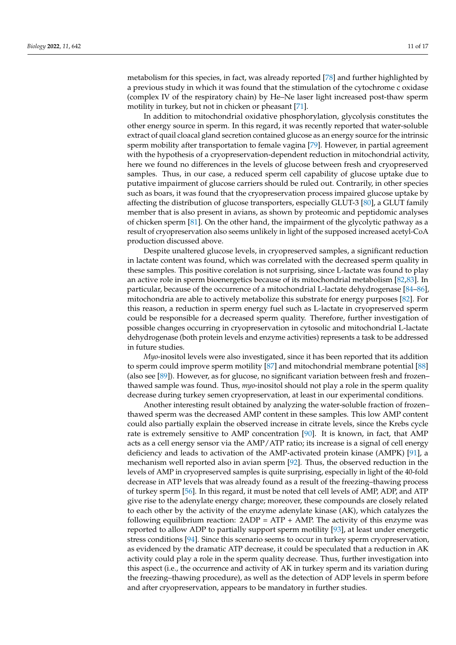metabolism for this species, in fact, was already reported [\[78\]](#page-15-8) and further highlighted by a previous study in which it was found that the stimulation of the cytochrome c oxidase (complex IV of the respiratory chain) by He–Ne laser light increased post-thaw sperm motility in turkey, but not in chicken or pheasant [\[71\]](#page-15-1).

In addition to mitochondrial oxidative phosphorylation, glycolysis constitutes the other energy source in sperm. In this regard, it was recently reported that water-soluble extract of quail cloacal gland secretion contained glucose as an energy source for the intrinsic sperm mobility after transportation to female vagina [\[79\]](#page-15-9). However, in partial agreement with the hypothesis of a cryopreservation-dependent reduction in mitochondrial activity, here we found no differences in the levels of glucose between fresh and cryopreserved samples. Thus, in our case, a reduced sperm cell capability of glucose uptake due to putative impairment of glucose carriers should be ruled out. Contrarily, in other species such as boars, it was found that the cryopreservation process impaired glucose uptake by affecting the distribution of glucose transporters, especially GLUT-3 [\[80\]](#page-15-10), a GLUT family member that is also present in avians, as shown by proteomic and peptidomic analyses of chicken sperm [\[81\]](#page-15-11). On the other hand, the impairment of the glycolytic pathway as a result of cryopreservation also seems unlikely in light of the supposed increased acetyl-CoA production discussed above.

Despite unaltered glucose levels, in cryopreserved samples, a significant reduction in lactate content was found, which was correlated with the decreased sperm quality in these samples. This positive corelation is not surprising, since L-lactate was found to play an active role in sperm bioenergetics because of its mitochondrial metabolism [\[82](#page-15-12)[,83\]](#page-15-13). In particular, because of the occurrence of a mitochondrial L-lactate dehydrogenase [\[84–](#page-15-14)[86\]](#page-15-15), mitochondria are able to actively metabolize this substrate for energy purposes [\[82\]](#page-15-12). For this reason, a reduction in sperm energy fuel such as L-lactate in cryopreserved sperm could be responsible for a decreased sperm quality. Therefore, further investigation of possible changes occurring in cryopreservation in cytosolic and mitochondrial L-lactate dehydrogenase (both protein levels and enzyme activities) represents a task to be addressed in future studies.

*Myo*-inositol levels were also investigated, since it has been reported that its addition to sperm could improve sperm motility [\[87\]](#page-15-16) and mitochondrial membrane potential [\[88\]](#page-15-17) (also see [\[89\]](#page-15-18)). However, as for glucose, no significant variation between fresh and frozen– thawed sample was found. Thus, *myo*-inositol should not play a role in the sperm quality decrease during turkey semen cryopreservation, at least in our experimental conditions.

Another interesting result obtained by analyzing the water-soluble fraction of frozen– thawed sperm was the decreased AMP content in these samples. This low AMP content could also partially explain the observed increase in citrate levels, since the Krebs cycle rate is extremely sensitive to AMP concentration [\[90\]](#page-15-19). It is known, in fact, that AMP acts as a cell energy sensor via the AMP/ATP ratio; its increase is a signal of cell energy deficiency and leads to activation of the AMP-activated protein kinase (AMPK) [\[91\]](#page-15-20), a mechanism well reported also in avian sperm [\[92\]](#page-15-21). Thus, the observed reduction in the levels of AMP in cryopreserved samples is quite surprising, especially in light of the 40-fold decrease in ATP levels that was already found as a result of the freezing–thawing process of turkey sperm [\[56\]](#page-14-12). In this regard, it must be noted that cell levels of AMP, ADP, and ATP give rise to the adenylate energy charge; moreover, these compounds are closely related to each other by the activity of the enzyme adenylate kinase (AK), which catalyzes the following equilibrium reaction:  $2ADP = ATP + AMP$ . The activity of this enzyme was reported to allow ADP to partially support sperm motility [\[93\]](#page-15-22), at least under energetic stress conditions [\[94\]](#page-15-23). Since this scenario seems to occur in turkey sperm cryopreservation, as evidenced by the dramatic ATP decrease, it could be speculated that a reduction in AK activity could play a role in the sperm quality decrease. Thus, further investigation into this aspect (i.e., the occurrence and activity of AK in turkey sperm and its variation during the freezing–thawing procedure), as well as the detection of ADP levels in sperm before and after cryopreservation, appears to be mandatory in further studies.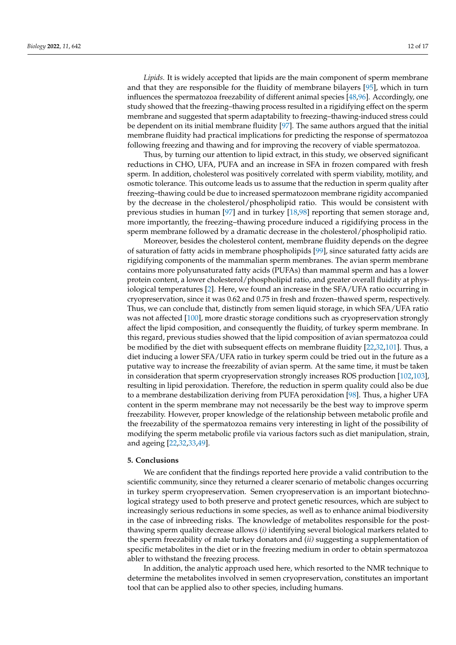*Lipids.* It is widely accepted that lipids are the main component of sperm membrane and that they are responsible for the fluidity of membrane bilayers [\[95\]](#page-15-24), which in turn influences the spermatozoa freezability of different animal species [\[48](#page-14-4)[,96\]](#page-15-25). Accordingly, one study showed that the freezing–thawing process resulted in a rigidifying effect on the sperm membrane and suggested that sperm adaptability to freezing–thawing-induced stress could be dependent on its initial membrane fluidity [\[97\]](#page-16-0). The same authors argued that the initial membrane fluidity had practical implications for predicting the response of spermatozoa following freezing and thawing and for improving the recovery of viable spermatozoa.

Thus, by turning our attention to lipid extract, in this study, we observed significant reductions in CHO, UFA, PUFA and an increase in SFA in frozen compared with fresh sperm. In addition, cholesterol was positively correlated with sperm viability, motility, and osmotic tolerance. This outcome leads us to assume that the reduction in sperm quality after freezing–thawing could be due to increased spermatozoon membrane rigidity accompanied by the decrease in the cholesterol/phospholipid ratio. This would be consistent with previous studies in human [\[97\]](#page-16-0) and in turkey [\[18](#page-13-1)[,98\]](#page-16-1) reporting that semen storage and, more importantly, the freezing–thawing procedure induced a rigidifying process in the sperm membrane followed by a dramatic decrease in the cholesterol/phospholipid ratio.

Moreover, besides the cholesterol content, membrane fluidity depends on the degree of saturation of fatty acids in membrane phospholipids [\[99\]](#page-16-2), since saturated fatty acids are rigidifying components of the mammalian sperm membranes. The avian sperm membrane contains more polyunsaturated fatty acids (PUFAs) than mammal sperm and has a lower protein content, a lower cholesterol/phospholipid ratio, and greater overall fluidity at physiological temperatures [\[2\]](#page-12-1). Here, we found an increase in the SFA/UFA ratio occurring in cryopreservation, since it was 0.62 and 0.75 in fresh and frozen–thawed sperm, respectively. Thus, we can conclude that, distinctly from semen liquid storage, in which SFA/UFA ratio was not affected [\[100\]](#page-16-3), more drastic storage conditions such as cryopreservation strongly affect the lipid composition, and consequently the fluidity, of turkey sperm membrane. In this regard, previous studies showed that the lipid composition of avian spermatozoa could be modified by the diet with subsequent effects on membrane fluidity [\[22](#page-13-19)[,32](#page-13-10)[,101\]](#page-16-4). Thus, a diet inducing a lower SFA/UFA ratio in turkey sperm could be tried out in the future as a putative way to increase the freezability of avian sperm. At the same time, it must be taken in consideration that sperm cryopreservation strongly increases ROS production [\[102](#page-16-5)[,103\]](#page-16-6), resulting in lipid peroxidation. Therefore, the reduction in sperm quality could also be due to a membrane destabilization deriving from PUFA peroxidation [\[98\]](#page-16-1). Thus, a higher UFA content in the sperm membrane may not necessarily be the best way to improve sperm freezability. However, proper knowledge of the relationship between metabolic profile and the freezability of the spermatozoa remains very interesting in light of the possibility of modifying the sperm metabolic profile via various factors such as diet manipulation, strain, and ageing [\[22,](#page-13-19)[32](#page-13-10)[,33](#page-13-11)[,49\]](#page-14-5).

#### **5. Conclusions**

We are confident that the findings reported here provide a valid contribution to the scientific community, since they returned a clearer scenario of metabolic changes occurring in turkey sperm cryopreservation. Semen cryopreservation is an important biotechnological strategy used to both preserve and protect genetic resources, which are subject to increasingly serious reductions in some species, as well as to enhance animal biodiversity in the case of inbreeding risks. The knowledge of metabolites responsible for the postthawing sperm quality decrease allows (*i)* identifying several biological markers related to the sperm freezability of male turkey donators and (*ii)* suggesting a supplementation of specific metabolites in the diet or in the freezing medium in order to obtain spermatozoa abler to withstand the freezing process.

In addition, the analytic approach used here, which resorted to the NMR technique to determine the metabolites involved in semen cryopreservation, constitutes an important tool that can be applied also to other species, including humans.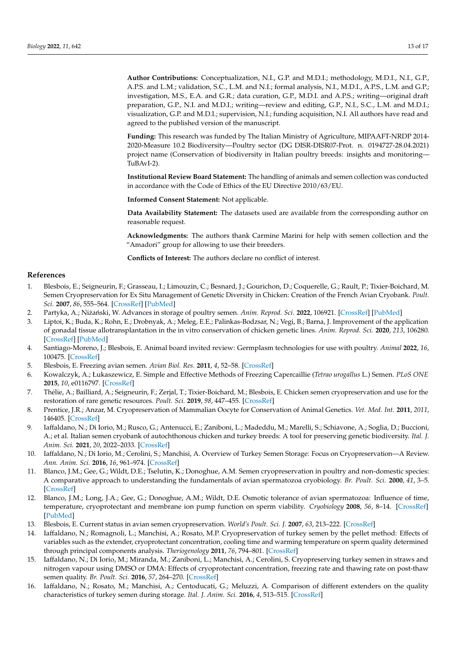**Author Contributions:** Conceptualization, N.I., G.P. and M.D.I.; methodology, M.D.I., N.I., G.P., A.P.S. and L.M.; validation, S.C., L.M. and N.I.; formal analysis, N.I., M.D.I., A.P.S., L.M. and G.P.; investigation, M.S., E.A. and G.R.; data curation, G.P., M.D.I. and A.P.S.; writing—original draft preparation, G.P., N.I. and M.D.I.; writing—review and editing, G.P., N.I., S.C., L.M. and M.D.I.; visualization, G.P. and M.D.I.; supervision, N.I.; funding acquisition, N.I. All authors have read and agreed to the published version of the manuscript.

**Funding:** This research was funded by The Italian Ministry of Agriculture, MIPAAFT-NRDP 2014- 2020-Measure 10.2 Biodiversity—Poultry sector (DG DISR-DISR07-Prot. n. 0194727-28.04.2021) project name (Conservation of biodiversity in Italian poultry breeds: insights and monitoring— TuBAvI-2).

**Institutional Review Board Statement:** The handling of animals and semen collection was conducted in accordance with the Code of Ethics of the EU Directive 2010/63/EU.

**Informed Consent Statement:** Not applicable.

**Data Availability Statement:** The datasets used are available from the corresponding author on reasonable request.

**Acknowledgments:** The authors thank Carmine Marini for help with semen collection and the "Amadori" group for allowing to use their breeders.

**Conflicts of Interest:** The authors declare no conflict of interest.

### **References**

- <span id="page-12-0"></span>1. Blesbois, E.; Seigneurin, F.; Grasseau, I.; Limouzin, C.; Besnard, J.; Gourichon, D.; Coquerelle, G.; Rault, P.; Tixier-Boichard, M. Semen Cryopreservation for Ex Situ Management of Genetic Diversity in Chicken: Creation of the French Avian Cryobank. *Poult. Sci.* **2007**, *86*, 555–564. [\[CrossRef\]](http://doi.org/10.1093/ps/86.3.555) [\[PubMed\]](http://www.ncbi.nlm.nih.gov/pubmed/17297169)
- <span id="page-12-1"></span>2. Partyka, A.; Niżański, W. Advances in storage of poultry semen. Anim. Reprod. Sci. 2022, 106921. [\[CrossRef\]](http://doi.org/10.1016/j.anireprosci.2021.106921) [\[PubMed\]](http://www.ncbi.nlm.nih.gov/pubmed/34996657)
- <span id="page-12-2"></span>3. Liptoi, K.; Buda, K.; Rohn, E.; Drobnyak, A.; Meleg, E.E.; Palinkas-Bodzsar, N.; Vegi, B.; Barna, J. Improvement of the application of gonadal tissue allotransplantation in the in vitro conservation of chicken genetic lines. *Anim. Reprod. Sci.* **2020**, *213*, 106280. [\[CrossRef\]](http://doi.org/10.1016/j.anireprosci.2020.106280) [\[PubMed\]](http://www.ncbi.nlm.nih.gov/pubmed/31987330)
- <span id="page-12-3"></span>4. Santiago-Moreno, J.; Blesbois, E. Animal board invited review: Germplasm technologies for use with poultry. *Animal* **2022**, *16*, 100475. [\[CrossRef\]](http://doi.org/10.1016/j.animal.2022.100475)
- <span id="page-12-4"></span>5. Blesbois, E. Freezing avian semen. *Avian Biol. Res.* **2011**, *4*, 52–58. [\[CrossRef\]](http://doi.org/10.3184/175815511X13069413108523)
- 6. Kowalczyk, A.; Łukaszewicz, E. Simple and Effective Methods of Freezing Capercaillie (*Tetrao urogallus* L.) Semen. *PLoS ONE* **2015**, *10*, e0116797. [\[CrossRef\]](http://doi.org/10.1371/journal.pone.0116797)
- <span id="page-12-5"></span>7. Thélie, A.; Bailliard, A.; Seigneurin, F.; Zerjal, T.; Tixier-Boichard, M.; Blesbois, E. Chicken semen cryopreservation and use for the restoration of rare genetic resources. *Poult. Sci.* **2019**, *98*, 447–455. [\[CrossRef\]](http://doi.org/10.3382/ps/pey360)
- <span id="page-12-6"></span>8. Prentice, J.R.; Anzar, M. Cryopreservation of Mammalian Oocyte for Conservation of Animal Genetics. *Vet. Med. Int.* **2011**, *2011*, 146405. [\[CrossRef\]](http://doi.org/10.4061/2011/146405)
- <span id="page-12-7"></span>9. Iaffaldano, N.; Di Iorio, M.; Rusco, G.; Antenucci, E.; Zaniboni, L.; Madeddu, M.; Marelli, S.; Schiavone, A.; Soglia, D.; Buccioni, A.; et al. Italian semen cryobank of autochthonous chicken and turkey breeds: A tool for preserving genetic biodiversity. *Ital. J. Anim. Sci.* **2021**, *20*, 2022–2033. [\[CrossRef\]](http://doi.org/10.1080/1828051X.2021.1993094)
- <span id="page-12-8"></span>10. Iaffaldano, N.; Di Iorio, M.; Cerolini, S.; Manchisi, A. Overview of Turkey Semen Storage: Focus on Cryopreservation—A Review. *Ann. Anim. Sci.* **2016**, *16*, 961–974. [\[CrossRef\]](http://doi.org/10.1515/aoas-2016-0026)
- <span id="page-12-9"></span>11. Blanco, J.M.; Gee, G.; Wildt, D.E.; Tselutin, K.; Donoghue, A.M. Semen cryopreservation in poultry and non-domestic species: A comparative approach to understanding the fundamentals of avian spermatozoa cryobiology. *Br. Poult. Sci.* **2000**, *41*, 3–5. [\[CrossRef\]](http://doi.org/10.1080/00071660050148435)
- 12. Blanco, J.M.; Long, J.A.; Gee, G.; Donoghue, A.M.; Wildt, D.E. Osmotic tolerance of avian spermatozoa: Influence of time, temperature, cryoprotectant and membrane ion pump function on sperm viability. *Cryobiology* **2008**, *56*, 8–14. [\[CrossRef\]](http://doi.org/10.1016/j.cryobiol.2007.09.004) [\[PubMed\]](http://www.ncbi.nlm.nih.gov/pubmed/18005955)
- 13. Blesbois, E. Current status in avian semen cryopreservation. *World's Poult. Sci. J.* **2007**, *63*, 213–222. [\[CrossRef\]](http://doi.org/10.1017/S0043933907001419)
- <span id="page-12-10"></span>14. Iaffaldano, N.; Romagnoli, L.; Manchisi, A.; Rosato, M.P. Cryopreservation of turkey semen by the pellet method: Effects of variables such as the extender, cryoprotectant concentration, cooling time and warming temperature on sperm quality determined through principal components analysis. *Theriogenology* **2011**, *76*, 794–801. [\[CrossRef\]](http://doi.org/10.1016/j.theriogenology.2011.04.012)
- <span id="page-12-11"></span>15. Iaffaldano, N.; Di Iorio, M.; Miranda, M.; Zaniboni, L.; Manchisi, A.; Cerolini, S. Cryopreserving turkey semen in straws and nitrogen vapour using DMSO or DMA: Effects of cryoprotectant concentration, freezing rate and thawing rate on post-thaw semen quality. *Br. Poult. Sci.* **2016**, *57*, 264–270. [\[CrossRef\]](http://doi.org/10.1080/00071668.2016.1148261)
- 16. Iaffaldano, N.; Rosato, M.; Manchisi, A.; Centoducati, G.; Meluzzi, A. Comparison of different extenders on the quality characteristics of turkey semen during storage. *Ital. J. Anim. Sci.* **2016**, *4*, 513–515. [\[CrossRef\]](http://doi.org/10.4081/ijas.2005.2s.513)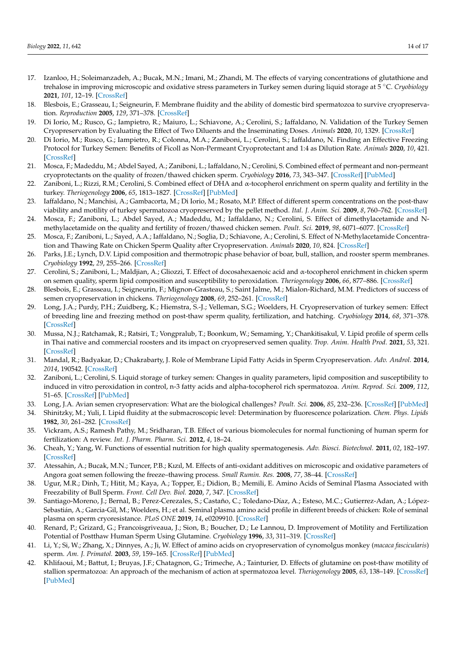- <span id="page-13-0"></span>17. Izanloo, H.; Soleimanzadeh, A.; Bucak, M.N.; Imani, M.; Zhandi, M. The effects of varying concentrations of glutathione and trehalose in improving microscopic and oxidative stress parameters in Turkey semen during liquid storage at 5 ◦C. *Cryobiology* **2021**, *101*, 12–19. [\[CrossRef\]](http://doi.org/10.1016/j.cryobiol.2021.07.002)
- <span id="page-13-1"></span>18. Blesbois, E.; Grasseau, I.; Seigneurin, F. Membrane fluidity and the ability of domestic bird spermatozoa to survive cryopreservation. *Reproduction* **2005**, *129*, 371–378. [\[CrossRef\]](http://doi.org/10.1530/rep.1.00454)
- <span id="page-13-2"></span>19. Di Iorio, M.; Rusco, G.; Iampietro, R.; Maiuro, L.; Schiavone, A.; Cerolini, S.; Iaffaldano, N. Validation of the Turkey Semen Cryopreservation by Evaluating the Effect of Two Diluents and the Inseminating Doses. *Animals* **2020**, *10*, 1329. [\[CrossRef\]](http://doi.org/10.3390/ani10081329)
- 20. Di Iorio, M.; Rusco, G.; Iampietro, R.; Colonna, M.A.; Zaniboni, L.; Cerolini, S.; Iaffaldano, N. Finding an Effective Freezing Protocol for Turkey Semen: Benefits of Ficoll as Non-Permeant Cryoprotectant and 1:4 as Dilution Rate. *Animals* **2020**, *10*, 421. [\[CrossRef\]](http://doi.org/10.3390/ani10030421)
- 21. Mosca, F.; Madeddu, M.; Abdel Sayed, A.; Zaniboni, L.; Iaffaldano, N.; Cerolini, S. Combined effect of permeant and non-permeant cryoprotectants on the quality of frozen/thawed chicken sperm. *Cryobiology* **2016**, *73*, 343–347. [\[CrossRef\]](http://doi.org/10.1016/j.cryobiol.2016.10.001) [\[PubMed\]](http://www.ncbi.nlm.nih.gov/pubmed/27717656)
- <span id="page-13-19"></span>22. Zaniboni, L.; Rizzi, R.M.; Cerolini, S. Combined effect of DHA and α-tocopherol enrichment on sperm quality and fertility in the turkey. *Theriogenology* **2006**, *65*, 1813–1827. [\[CrossRef\]](http://doi.org/10.1016/j.theriogenology.2005.10.013) [\[PubMed\]](http://www.ncbi.nlm.nih.gov/pubmed/16298425)
- 23. Iaffaldano, N.; Manchisi, A.; Gambacorta, M.; Di Iorio, M.; Rosato, M.P. Effect of different sperm concentrations on the post-thaw viability and motility of turkey spermatozoa cryopreserved by the pellet method. *Ital. J. Anim. Sci.* **2009**, *8*, 760–762. [\[CrossRef\]](http://doi.org/10.4081/ijas.2009.s2.760)
- 24. Mosca, F.; Zaniboni, L.; Abdel Sayed, A.; Madeddu, M.; Iaffaldano, N.; Cerolini, S. Effect of dimethylacetamide and Nmethylacetamide on the quality and fertility of frozen/thawed chicken semen. *Poult. Sci.* **2019**, *98*, 6071–6077. [\[CrossRef\]](http://doi.org/10.3382/ps/pez303)
- <span id="page-13-3"></span>25. Mosca, F.; Zaniboni, L.; Sayed, A.A.; Iaffaldano, N.; Soglia, D.; Schiavone, A.; Cerolini, S. Effect of N-Methylacetamide Concentration and Thawing Rate on Chicken Sperm Quality after Cryopreservation. *Animals* **2020**, *10*, 824. [\[CrossRef\]](http://doi.org/10.3390/ani10050824)
- <span id="page-13-4"></span>26. Parks, J.E.; Lynch, D.V. Lipid composition and thermotropic phase behavior of boar, bull, stallion, and rooster sperm membranes. *Cryobiology* **1992**, *29*, 255–266. [\[CrossRef\]](http://doi.org/10.1016/0011-2240(92)90024-V)
- <span id="page-13-5"></span>27. Cerolini, S.; Zaniboni, L.; Maldjian, A.; Gliozzi, T. Effect of docosahexaenoic acid and α-tocopherol enrichment in chicken sperm on semen quality, sperm lipid composition and susceptibility to peroxidation. *Theriogenology* **2006**, *66*, 877–886. [\[CrossRef\]](http://doi.org/10.1016/j.theriogenology.2006.02.022)
- <span id="page-13-6"></span>28. Blesbois, E.; Grasseau, I.; Seigneurin, F.; Mignon-Grasteau, S.; Saint Jalme, M.; Mialon-Richard, M.M. Predictors of success of semen cryopreservation in chickens. *Theriogenology* **2008**, *69*, 252–261. [\[CrossRef\]](http://doi.org/10.1016/j.theriogenology.2007.09.019)
- <span id="page-13-7"></span>29. Long, J.A.; Purdy, P.H.; Zuidberg, K.; Hiemstra, S.-J.; Velleman, S.G.; Woelders, H. Cryopreservation of turkey semen: Effect of breeding line and freezing method on post-thaw sperm quality, fertilization, and hatching. *Cryobiology* **2014**, *68*, 371–378. [\[CrossRef\]](http://doi.org/10.1016/j.cryobiol.2014.04.003)
- <span id="page-13-8"></span>30. Mussa, N.J.; Ratchamak, R.; Ratsiri, T.; Vongpralub, T.; Boonkum, W.; Semaming, Y.; Chankitisakul, V. Lipid profile of sperm cells in Thai native and commercial roosters and its impact on cryopreserved semen quality. *Trop. Anim. Health Prod.* **2021**, *53*, 321. [\[CrossRef\]](http://doi.org/10.1007/s11250-021-02664-9)
- <span id="page-13-9"></span>31. Mandal, R.; Badyakar, D.; Chakrabarty, J. Role of Membrane Lipid Fatty Acids in Sperm Cryopreservation. *Adv. Androl.* **2014**, *2014*, 190542. [\[CrossRef\]](http://doi.org/10.1155/2014/190542)
- <span id="page-13-10"></span>32. Zaniboni, L.; Cerolini, S. Liquid storage of turkey semen: Changes in quality parameters, lipid composition and susceptibility to induced in vitro peroxidation in control, n-3 fatty acids and alpha-tocopherol rich spermatozoa. *Anim. Reprod. Sci.* **2009**, *112*, 51–65. [\[CrossRef\]](http://doi.org/10.1016/j.anireprosci.2008.04.002) [\[PubMed\]](http://www.ncbi.nlm.nih.gov/pubmed/18485630)
- <span id="page-13-11"></span>33. Long, J.A. Avian semen cryopreservation: What are the biological challenges? *Poult. Sci.* **2006**, *85*, 232–236. [\[CrossRef\]](http://doi.org/10.1093/ps/85.2.232) [\[PubMed\]](http://www.ncbi.nlm.nih.gov/pubmed/16523619)
- <span id="page-13-12"></span>34. Shinitzky, M.; Yuli, I. Lipid fluidity at the submacroscopic level: Determination by fluorescence polarization. *Chem. Phys. Lipids* **1982**, *30*, 261–282. [\[CrossRef\]](http://doi.org/10.1016/0009-3084(82)90054-8)
- <span id="page-13-13"></span>35. Vickram, A.S.; Ramesh Pathy, M.; Sridharan, T.B. Effect of various biomolecules for normal functioning of human sperm for fertilization: A review. *Int. J. Pharm. Pharm. Sci.* **2012**, *4*, 18–24.
- <span id="page-13-14"></span>36. Cheah, Y.; Yang, W. Functions of essential nutrition for high quality spermatogenesis. *Adv. Biosci. Biotechnol.* **2011**, *02*, 182–197. [\[CrossRef\]](http://doi.org/10.4236/abb.2011.24029)
- <span id="page-13-15"></span>37. Atessahin, A.; Bucak, M.N.; Tuncer, P.B.; Kızıl, M. Effects of anti-oxidant additives on microscopic and oxidative parameters of Angora goat semen following the freeze–thawing process. *Small Rumin. Res.* **2008**, *77*, 38–44. [\[CrossRef\]](http://doi.org/10.1016/j.smallrumres.2008.03.002)
- <span id="page-13-16"></span>38. Ugur, M.R.; Dinh, T.; Hitit, M.; Kaya, A.; Topper, E.; Didion, B.; Memili, E. Amino Acids of Seminal Plasma Associated with Freezability of Bull Sperm. *Front. Cell Dev. Biol.* **2020**, *7*, 347. [\[CrossRef\]](http://doi.org/10.3389/fcell.2019.00347)
- <span id="page-13-17"></span>39. Santiago-Moreno, J.; Bernal, B.; Perez-Cerezales, S.; Castaño, C.; Toledano-Díaz, A.; Esteso, M.C.; Gutierrez-Adan, A.; López-Sebastián, A.; Garcia-Gil, M.; Woelders, H.; et al. Seminal plasma amino acid profile in different breeds of chicken: Role of seminal plasma on sperm cryoresistance. *PLoS ONE* **2019**, *14*, e0209910. [\[CrossRef\]](http://doi.org/10.1371/journal.pone.0209910)
- <span id="page-13-18"></span>40. Renard, P.; Grizard, G.; Francoisgriveaua, J.; Sion, B.; Boucher, D.; Le Lannou, D. Improvement of Motility and Fertilization Potential of Postthaw Human Sperm Using Glutamine. *Cryobiology* **1996**, *33*, 311–319. [\[CrossRef\]](http://doi.org/10.1006/cryo.1996.0031)
- 41. Li, Y.; Si, W.; Zhang, X.; Dinnyes, A.; Ji, W. Effect of amino acids on cryopreservation of cynomolgus monkey (*macaca fascicularis*) sperm. *Am. J. Primatol.* **2003**, *59*, 159–165. [\[CrossRef\]](http://doi.org/10.1002/ajp.10073) [\[PubMed\]](http://www.ncbi.nlm.nih.gov/pubmed/12682924)
- 42. Khlifaoui, M.; Battut, I.; Bruyas, J.F.; Chatagnon, G.; Trimeche, A.; Tainturier, D. Effects of glutamine on post-thaw motility of stallion spermatozoa: An approach of the mechanism of action at spermatozoa level. *Theriogenology* **2005**, *63*, 138–149. [\[CrossRef\]](http://doi.org/10.1016/j.theriogenology.2004.04.012) [\[PubMed\]](http://www.ncbi.nlm.nih.gov/pubmed/15589280)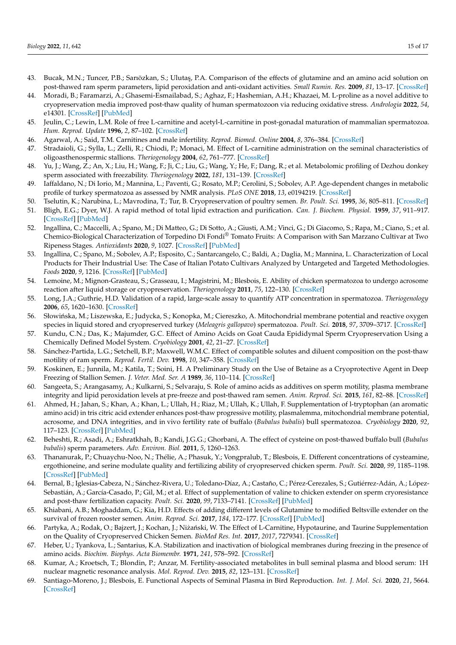- 43. Bucak, M.N.; Tuncer, P.B.; Sarıözkan, S.; Ulutaş, P.A. Comparison of the effects of glutamine and an amino acid solution on post-thawed ram sperm parameters, lipid peroxidation and anti-oxidant activities. *Small Rumin. Res.* **2009**, *81*, 13–17. [\[CrossRef\]](http://doi.org/10.1016/j.smallrumres.2008.10.003)
- <span id="page-14-0"></span>44. Moradi, B.; Faramarzi, A.; Ghasemi-Esmailabad, S.; Aghaz, F.; Hashemian, A.H.; Khazaei, M. L-proline as a novel additive to cryopreservation media improved post-thaw quality of human spermatozoon via reducing oxidative stress. *Andrologia* **2022**, *54*, e14301. [\[CrossRef\]](http://doi.org/10.1111/and.14301) [\[PubMed\]](http://www.ncbi.nlm.nih.gov/pubmed/34748671)
- <span id="page-14-1"></span>45. Jeulin, C.; Lewin, L.M. Role of free L-carnitine and acetyl-L-carnitine in post-gonadal maturation of mammalian spermatozoa. *Hum. Reprod. Update* **1996**, *2*, 87–102. [\[CrossRef\]](http://doi.org/10.1093/humupd/2.2.87)
- <span id="page-14-2"></span>46. Agarwal, A.; Said, T.M. Carnitines and male infertility. *Reprod. Biomed. Online* **2004**, *8*, 376–384. [\[CrossRef\]](http://doi.org/10.1016/S1472-6483(10)60920-0)
- <span id="page-14-3"></span>47. Stradaioli, G.; Sylla, L.; Zelli, R.; Chiodi, P.; Monaci, M. Effect of L-carnitine administration on the seminal characteristics of oligoasthenospermic stallions. *Theriogenology* **2004**, *62*, 761–777. [\[CrossRef\]](http://doi.org/10.1016/j.theriogenology.2003.11.018)
- <span id="page-14-4"></span>48. Yu, J.; Wang, Z.; An, X.; Liu, H.; Wang, F.; Ji, C.; Liu, G.; Wang, Y.; He, F.; Dang, R.; et al. Metabolomic profiling of Dezhou donkey sperm associated with freezability. *Theriogenology* **2022**, *181*, 131–139. [\[CrossRef\]](http://doi.org/10.1016/j.theriogenology.2022.01.020)
- <span id="page-14-5"></span>49. Iaffaldano, N.; Di Iorio, M.; Mannina, L.; Paventi, G.; Rosato, M.P.; Cerolini, S.; Sobolev, A.P. Age-dependent changes in metabolic profile of turkey spermatozoa as assessed by NMR analysis. *PLoS ONE* **2018**, *13*, e0194219. [\[CrossRef\]](http://doi.org/10.1371/journal.pone.0194219)
- <span id="page-14-6"></span>50. Tselutin, K.; Narubina, L.; Mavrodina, T.; Tur, B. Cryopreservation of poultry semen. *Br. Poult. Sci.* **1995**, *36*, 805–811. [\[CrossRef\]](http://doi.org/10.1080/00071669508417825)
- <span id="page-14-7"></span>51. Bligh, E.G.; Dyer, W.J. A rapid method of total lipid extraction and purification. *Can. J. Biochem. Physiol.* **1959**, *37*, 911–917. [\[CrossRef\]](http://doi.org/10.1139/y59-099) [\[PubMed\]](http://www.ncbi.nlm.nih.gov/pubmed/13671378)
- <span id="page-14-8"></span>52. Ingallina, C.; Maccelli, A.; Spano, M.; Di Matteo, G.; Di Sotto, A.; Giusti, A.M.; Vinci, G.; Di Giacomo, S.; Rapa, M.; Ciano, S.; et al. Chemico-Biological Characterization of Torpedino Di Fondi® Tomato Fruits: A Comparison with San Marzano Cultivar at Two Ripeness Stages. *Antioxidants* **2020**, *9*, 1027. [\[CrossRef\]](http://doi.org/10.3390/antiox9101027) [\[PubMed\]](http://www.ncbi.nlm.nih.gov/pubmed/33096834)
- <span id="page-14-9"></span>53. Ingallina, C.; Spano, M.; Sobolev, A.P.; Esposito, C.; Santarcangelo, C.; Baldi, A.; Daglia, M.; Mannina, L. Characterization of Local Products for Their Industrial Use: The Case of Italian Potato Cultivars Analyzed by Untargeted and Targeted Methodologies. *Foods* **2020**, *9*, 1216. [\[CrossRef\]](http://doi.org/10.3390/foods9091216) [\[PubMed\]](http://www.ncbi.nlm.nih.gov/pubmed/32887216)
- <span id="page-14-10"></span>54. Lemoine, M.; Mignon-Grasteau, S.; Grasseau, I.; Magistrini, M.; Blesbois, E. Ability of chicken spermatozoa to undergo acrosome reaction after liquid storage or cryopreservation. *Theriogenology* **2011**, *75*, 122–130. [\[CrossRef\]](http://doi.org/10.1016/j.theriogenology.2010.07.017)
- <span id="page-14-11"></span>55. Long, J.A.; Guthrie, H.D. Validation of a rapid, large-scale assay to quantify ATP concentration in spermatozoa. *Theriogenology* **2006**, *65*, 1620–1630. [\[CrossRef\]](http://doi.org/10.1016/j.theriogenology.2005.06.020)
- <span id="page-14-12"></span>56. Słowińska, M.; Liszewska, E.; Judycka, S.; Konopka, M.; Ciereszko, A. Mitochondrial membrane potential and reactive oxygen species in liquid stored and cryopreserved turkey (*Meleagris gallopavo*) spermatozoa. *Poult. Sci.* **2018**, *97*, 3709–3717. [\[CrossRef\]](http://doi.org/10.3382/ps/pey209)
- <span id="page-14-13"></span>57. Kundu, C.N.; Das, K.; Majumder, G.C. Effect of Amino Acids on Goat Cauda Epididymal Sperm Cryopreservation Using a Chemically Defined Model System. *Cryobiology* **2001**, *42*, 21–27. [\[CrossRef\]](http://doi.org/10.1006/cryo.2001.2296)
- 58. Sánchez-Partida, L.G.; Setchell, B.P.; Maxwell, W.M.C. Effect of compatible solutes and diluent composition on the post-thaw motility of ram sperm. *Reprod. Fertil. Dev.* **1998**, *10*, 347–358. [\[CrossRef\]](http://doi.org/10.1071/R98053)
- 59. Koskinen, E.; Junnila, M.; Katila, T.; Soini, H. A Preliminary Study on the Use of Betaine as a Cryoprotective Agent in Deep Freezing of Stallion Semen. *J. Veter. Med. Ser. A* **1989**, *36*, 110–114. [\[CrossRef\]](http://doi.org/10.1111/j.1439-0442.1989.tb00710.x)
- <span id="page-14-17"></span>60. Sangeeta, S.; Arangasamy, A.; Kulkarni, S.; Selvaraju, S. Role of amino acids as additives on sperm motility, plasma membrane integrity and lipid peroxidation levels at pre-freeze and post-thawed ram semen. *Anim. Reprod. Sci.* **2015**, *161*, 82–88. [\[CrossRef\]](http://doi.org/10.1016/j.anireprosci.2015.08.008)
- 61. Ahmed, H.; Jahan, S.; Khan, A.; Khan, L.; Ullah, H.; Riaz, M.; Ullah, K.; Ullah, F. Supplementation of l-tryptophan (an aromatic amino acid) in tris citric acid extender enhances post-thaw progressive motility, plasmalemma, mitochondrial membrane potential, acrosome, and DNA integrities, and in vivo fertility rate of buffalo (*Bubalus bubalis*) bull spermatozoa. *Cryobiology* **2020**, *92*, 117–123. [\[CrossRef\]](http://doi.org/10.1016/j.cryobiol.2019.11.044) [\[PubMed\]](http://www.ncbi.nlm.nih.gov/pubmed/31783000)
- <span id="page-14-14"></span>62. Beheshti, R.; Asadi, A.; Eshratkhah, B.; Kandi, J.G.G.; Ghorbani, A. The effect of cysteine on post-thawed buffalo bull (*Bubalus bubalis*) sperm parameters. *Adv. Environ. Biol.* **2011**, *5*, 1260–1263.
- <span id="page-14-15"></span>63. Thananurak, P.; Chuaychu-Noo, N.; Thélie, A.; Phasuk, Y.; Vongpralub, T.; Blesbois, E. Different concentrations of cysteamine, ergothioneine, and serine modulate quality and fertilizing ability of cryopreserved chicken sperm. *Poult. Sci.* **2020**, *99*, 1185–1198. [\[CrossRef\]](http://doi.org/10.1016/j.psj.2019.10.040) [\[PubMed\]](http://www.ncbi.nlm.nih.gov/pubmed/32029149)
- <span id="page-14-19"></span>64. Bernal, B.; Iglesias-Cabeza, N.; Sánchez-Rivera, U.; Toledano-Díaz, A.; Castaño, C.; Pérez-Cerezales, S.; Gutiérrez-Adán, A.; López-Sebastián, A.; García-Casado, P.; Gil, M.; et al. Effect of supplementation of valine to chicken extender on sperm cryoresistance and post-thaw fertilization capacity. *Poult. Sci.* **2020**, *99*, 7133–7141. [\[CrossRef\]](http://doi.org/10.1016/j.psj.2020.09.060) [\[PubMed\]](http://www.ncbi.nlm.nih.gov/pubmed/33248630)
- 65. Khiabani, A.B.; Moghaddam, G.; Kia, H.D. Effects of adding different levels of Glutamine to modified Beltsville extender on the survival of frozen rooster semen. *Anim. Reprod. Sci.* **2017**, *184*, 172–177. [\[CrossRef\]](http://doi.org/10.1016/j.anireprosci.2017.07.013) [\[PubMed\]](http://www.ncbi.nlm.nih.gov/pubmed/28765035)
- <span id="page-14-16"></span>66. Partyka, A.; Rodak, O.; Bajzert, J.; Kochan, J.; Niżański, W. The Effect of L-Carnitine, Hypotaurine, and Taurine Supplementation on the Quality of Cryopreserved Chicken Semen. *BioMed Res. Int.* **2017**, *2017*, 7279341. [\[CrossRef\]](http://doi.org/10.1155/2017/7279341)
- <span id="page-14-18"></span>67. Heber, U.; Tyankova, L.; Santarius, K.A. Stabilization and inactivation of biological membranes during freezing in the presence of amino acids. *Biochim. Biophys. Acta Biomembr.* **1971**, *241*, 578–592. [\[CrossRef\]](http://doi.org/10.1016/0005-2736(71)90056-3)
- <span id="page-14-20"></span>68. Kumar, A.; Kroetsch, T.; Blondin, P.; Anzar, M. Fertility-associated metabolites in bull seminal plasma and blood serum: 1H nuclear magnetic resonance analysis. *Mol. Reprod. Dev.* **2015**, *82*, 123–131. [\[CrossRef\]](http://doi.org/10.1002/mrd.22450)
- <span id="page-14-21"></span>69. Santiago-Moreno, J.; Blesbois, E. Functional Aspects of Seminal Plasma in Bird Reproduction. *Int. J. Mol. Sci.* **2020**, *21*, 5664. [\[CrossRef\]](http://doi.org/10.3390/ijms21165664)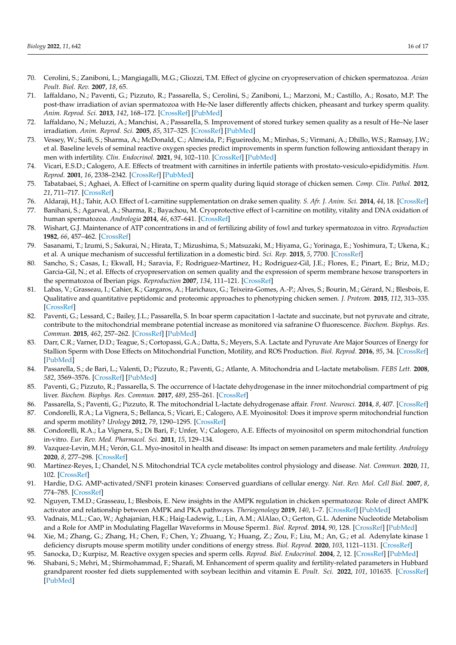- <span id="page-15-0"></span>70. Cerolini, S.; Zaniboni, L.; Mangiagalli, M.G.; Gliozzi, T.M. Effect of glycine on cryopreservation of chicken spermatozoa. *Avian Poult. Biol. Rev.* **2007**, *18*, 65.
- <span id="page-15-1"></span>71. Iaffaldano, N.; Paventi, G.; Pizzuto, R.; Passarella, S.; Cerolini, S.; Zaniboni, L.; Marzoni, M.; Castillo, A.; Rosato, M.P. The post-thaw irradiation of avian spermatozoa with He-Ne laser differently affects chicken, pheasant and turkey sperm quality. *Anim. Reprod. Sci.* **2013**, *142*, 168–172. [\[CrossRef\]](http://doi.org/10.1016/j.anireprosci.2013.09.010) [\[PubMed\]](http://www.ncbi.nlm.nih.gov/pubmed/24125852)
- <span id="page-15-2"></span>72. Iaffaldano, N.; Meluzzi, A.; Manchisi, A.; Passarella, S. Improvement of stored turkey semen quality as a result of He–Ne laser irradiation. *Anim. Reprod. Sci.* **2005**, *85*, 317–325. [\[CrossRef\]](http://doi.org/10.1016/j.anireprosci.2004.04.043) [\[PubMed\]](http://www.ncbi.nlm.nih.gov/pubmed/15581514)
- <span id="page-15-3"></span>73. Vessey, W.; Saifi, S.; Sharma, A.; McDonald, C.; Almeida, P.; Figueiredo, M.; Minhas, S.; Virmani, A.; Dhillo, W.S.; Ramsay, J.W.; et al. Baseline levels of seminal reactive oxygen species predict improvements in sperm function following antioxidant therapy in men with infertility. *Clin. Endocrinol.* **2021**, *94*, 102–110. [\[CrossRef\]](http://doi.org/10.1111/cen.14328) [\[PubMed\]](http://www.ncbi.nlm.nih.gov/pubmed/32895999)
- <span id="page-15-4"></span>74. Vicari, E.S.D.; Calogero, A.E. Effects of treatment with carnitines in infertile patients with prostato-vesiculo-epididymitis. *Hum. Reprod.* **2001**, *16*, 2338–2342. [\[CrossRef\]](http://doi.org/10.1093/humrep/16.11.2338) [\[PubMed\]](http://www.ncbi.nlm.nih.gov/pubmed/11679516)
- <span id="page-15-5"></span>75. Tabatabaei, S.; Aghaei, A. Effect of l-carnitine on sperm quality during liquid storage of chicken semen. *Comp. Clin. Pathol.* **2012**, *21*, 711–717. [\[CrossRef\]](http://doi.org/10.1007/s00580-010-1163-6)
- <span id="page-15-6"></span>76. Aldaraji, H.J.; Tahir, A.O. Effect of L-carnitine supplementation on drake semen quality. *S. Afr. J. Anim. Sci.* **2014**, *44*, 18. [\[CrossRef\]](http://doi.org/10.4314/sajas.v44i1.3)
- <span id="page-15-7"></span>77. Banihani, S.; Agarwal, A.; Sharma, R.; Bayachou, M. Cryoprotective effect of l-carnitine on motility, vitality and DNA oxidation of human spermatozoa. *Andrologia* **2014**, *46*, 637–641. [\[CrossRef\]](http://doi.org/10.1111/and.12130)
- <span id="page-15-8"></span>78. Wishart, G.J. Maintenance of ATP concentrations in and of fertilizing ability of fowl and turkey spermatozoa in vitro. *Reproduction* **1982**, *66*, 457–462. [\[CrossRef\]](http://doi.org/10.1530/jrf.0.0660457)
- <span id="page-15-9"></span>79. Sasanami, T.; Izumi, S.; Sakurai, N.; Hirata, T.; Mizushima, S.; Matsuzaki, M.; Hiyama, G.; Yorinaga, E.; Yoshimura, T.; Ukena, K.; et al. A unique mechanism of successful fertilization in a domestic bird. *Sci. Rep.* **2015**, *5*, 7700. [\[CrossRef\]](http://doi.org/10.1038/srep07700)
- <span id="page-15-10"></span>80. Sancho, S.; Casas, I.; Ekwall, H.; Saravia, F.; Rodriguez-Martinez, H.; Rodriguez-Gil, J.E.; Flores, E.; Pinart, E.; Briz, M.D.; Garcia-Gil, N.; et al. Effects of cryopreservation on semen quality and the expression of sperm membrane hexose transporters in the spermatozoa of Iberian pigs. *Reproduction* **2007**, *134*, 111–121. [\[CrossRef\]](http://doi.org/10.1530/REP-07-0118)
- <span id="page-15-11"></span>81. Labas, V.; Grasseau, I.; Cahier, K.; Gargaros, A.; Harichaux, G.; Teixeira-Gomes, A.-P.; Alves, S.; Bourin, M.; Gérard, N.; Blesbois, E. Qualitative and quantitative peptidomic and proteomic approaches to phenotyping chicken semen. *J. Proteom.* **2015**, *112*, 313–335. [\[CrossRef\]](http://doi.org/10.1016/j.jprot.2014.07.024)
- <span id="page-15-12"></span>82. Paventi, G.; Lessard, C.; Bailey, J.L.; Passarella, S. In boar sperm capacitation l -lactate and succinate, but not pyruvate and citrate, contribute to the mitochondrial membrane potential increase as monitored via safranine O fluorescence. *Biochem. Biophys. Res. Commun.* **2015**, *462*, 257–262. [\[CrossRef\]](http://doi.org/10.1016/j.bbrc.2015.04.128) [\[PubMed\]](http://www.ncbi.nlm.nih.gov/pubmed/25956060)
- <span id="page-15-13"></span>83. Darr, C.R.; Varner, D.D.; Teague, S.; Cortopassi, G.A.; Datta, S.; Meyers, S.A. Lactate and Pyruvate Are Major Sources of Energy for Stallion Sperm with Dose Effects on Mitochondrial Function, Motility, and ROS Production. *Biol. Reprod.* **2016**, *95*, 34. [\[CrossRef\]](http://doi.org/10.1095/biolreprod.116.140707) [\[PubMed\]](http://www.ncbi.nlm.nih.gov/pubmed/27335066)
- <span id="page-15-14"></span>84. Passarella, S.; de Bari, L.; Valenti, D.; Pizzuto, R.; Paventi, G.; Atlante, A. Mitochondria and L-lactate metabolism. *FEBS Lett.* **2008**, *582*, 3569–3576. [\[CrossRef\]](http://doi.org/10.1016/j.febslet.2008.09.042) [\[PubMed\]](http://www.ncbi.nlm.nih.gov/pubmed/18831974)
- 85. Paventi, G.; Pizzuto, R.; Passarella, S. The occurrence of l-lactate dehydrogenase in the inner mitochondrial compartment of pig liver. *Biochem. Biophys. Res. Commun.* **2017**, *489*, 255–261. [\[CrossRef\]](http://doi.org/10.1016/j.bbrc.2017.05.154)
- <span id="page-15-15"></span>86. Passarella, S.; Paventi, G.; Pizzuto, R. The mitochondrial L-lactate dehydrogenase affair. *Front. Neurosci.* **2014**, *8*, 407. [\[CrossRef\]](http://doi.org/10.3389/fnins.2014.00407)
- <span id="page-15-16"></span>87. Condorelli, R.A.; La Vignera, S.; Bellanca, S.; Vicari, E.; Calogero, A.E. Myoinositol: Does it improve sperm mitochondrial function and sperm motility? *Urology* **2012**, *79*, 1290–1295. [\[CrossRef\]](http://doi.org/10.1016/j.urology.2012.03.005)
- <span id="page-15-17"></span>88. Condorelli, R.A.; La Vignera, S.; Di Bari, F.; Unfer, V.; Calogero, A.E. Effects of myoinositol on sperm mitochondrial function in-vitro. *Eur. Rev. Med. Pharmacol. Sci.* **2011**, *15*, 129–134.
- <span id="page-15-18"></span>89. Vazquez-Levin, M.H.; Verón, G.L. Myo-inositol in health and disease: Its impact on semen parameters and male fertility. *Andrology* **2020**, *8*, 277–298. [\[CrossRef\]](http://doi.org/10.1111/andr.12718)
- <span id="page-15-19"></span>90. Martínez-Reyes, I.; Chandel, N.S. Mitochondrial TCA cycle metabolites control physiology and disease. *Nat. Commun.* **2020**, *11*, 102. [\[CrossRef\]](http://doi.org/10.1038/s41467-019-13668-3)
- <span id="page-15-20"></span>91. Hardie, D.G. AMP-activated/SNF1 protein kinases: Conserved guardians of cellular energy. *Nat. Rev. Mol. Cell Biol.* **2007**, *8*, 774–785. [\[CrossRef\]](http://doi.org/10.1038/nrm2249)
- <span id="page-15-21"></span>92. Nguyen, T.M.D.; Grasseau, I.; Blesbois, E. New insights in the AMPK regulation in chicken spermatozoa: Role of direct AMPK activator and relationship between AMPK and PKA pathways. *Theriogenology* **2019**, *140*, 1–7. [\[CrossRef\]](http://doi.org/10.1016/j.theriogenology.2019.07.031) [\[PubMed\]](http://www.ncbi.nlm.nih.gov/pubmed/31419697)
- <span id="page-15-22"></span>93. Vadnais, M.L.; Cao, W.; Aghajanian, H.K.; Haig-Ladewig, L.; Lin, A.M.; AlAlao, O.; Gerton, G.L. Adenine Nucleotide Metabolism and a Role for AMP in Modulating Flagellar Waveforms in Mouse Sperm1. *Biol. Reprod.* **2014**, *90*, 128. [\[CrossRef\]](http://doi.org/10.1095/biolreprod.113.114447) [\[PubMed\]](http://www.ncbi.nlm.nih.gov/pubmed/24740601)
- <span id="page-15-23"></span>94. Xie, M.; Zhang, G.; Zhang, H.; Chen, F.; Chen, Y.; Zhuang, Y.; Huang, Z.; Zou, F.; Liu, M.; An, G.; et al. Adenylate kinase 1 deficiency disrupts mouse sperm motility under conditions of energy stress. *Biol. Reprod.* **2020**, *103*, 1121–1131. [\[CrossRef\]](http://doi.org/10.1093/biolre/ioaa134)
- <span id="page-15-24"></span>95. Sanocka, D.; Kurpisz, M. Reactive oxygen species and sperm cells. *Reprod. Biol. Endocrinol.* **2004**, *2*, 12. [\[CrossRef\]](http://doi.org/10.1186/1477-7827-2-12) [\[PubMed\]](http://www.ncbi.nlm.nih.gov/pubmed/15038829)
- <span id="page-15-25"></span>96. Shabani, S.; Mehri, M.; Shirmohammad, F.; Sharafi, M. Enhancement of sperm quality and fertility-related parameters in Hubbard grandparent rooster fed diets supplemented with soybean lecithin and vitamin E. *Poult. Sci.* **2022**, *101*, 101635. [\[CrossRef\]](http://doi.org/10.1016/j.psj.2021.101635) [\[PubMed\]](http://www.ncbi.nlm.nih.gov/pubmed/35007931)